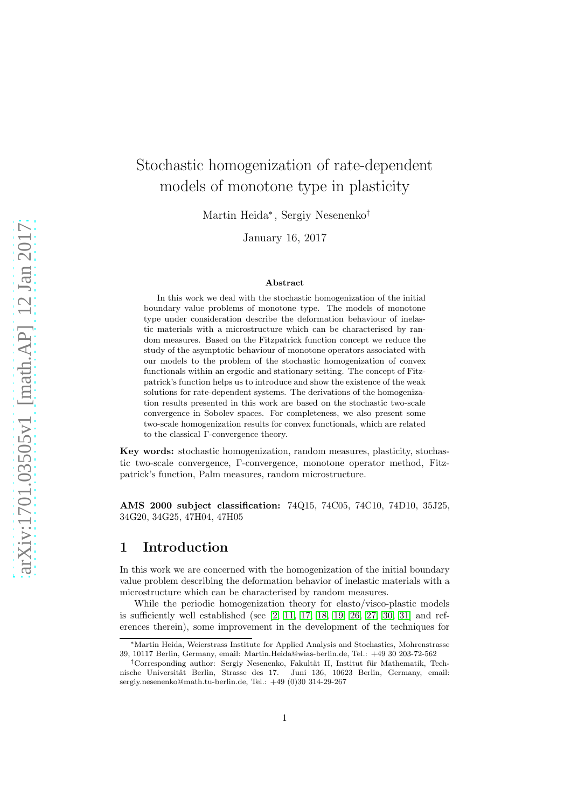# Stochastic homogenization of rate-dependent models of monotone type in plasticity

Martin Heida<sup>∗</sup> , Sergiy Nesenenko†

January 16, 2017

#### Abstract

In this work we deal with the stochastic homogenization of the initial boundary value problems of monotone type. The models of monotone type under consideration describe the deformation behaviour of inelastic materials with a microstructure which can be characterised by random measures. Based on the Fitzpatrick function concept we reduce the study of the asymptotic behaviour of monotone operators associated with our models to the problem of the stochastic homogenization of convex functionals within an ergodic and stationary setting. The concept of Fitzpatrick's function helps us to introduce and show the existence of the weak solutions for rate-dependent systems. The derivations of the homogenization results presented in this work are based on the stochastic two-scale convergence in Sobolev spaces. For completeness, we also present some two-scale homogenization results for convex functionals, which are related to the classical Γ-convergence theory.

Key words: stochastic homogenization, random measures, plasticity, stochastic two-scale convergence, Γ-convergence, monotone operator method, Fitzpatrick's function, Palm measures, random microstructure.

AMS 2000 subject classification: 74Q15, 74C05, 74C10, 74D10, 35J25, 34G20, 34G25, 47H04, 47H05

## 1 Introduction

In this work we are concerned with the homogenization of the initial boundary value problem describing the deformation behavior of inelastic materials with a microstructure which can be characterised by random measures.

While the periodic homogenization theory for elasto/visco-plastic models is sufficiently well established (see [\[2,](#page-24-0) [11,](#page-24-1) [17,](#page-24-2) [18,](#page-24-3) [19,](#page-24-4) [26,](#page-25-0) [27,](#page-25-1) [30,](#page-25-2) [31\]](#page-25-3) and references therein), some improvement in the development of the techniques for

<sup>∗</sup>Martin Heida, Weierstrass Institute for Applied Analysis and Stochastics, Mohrenstrasse 39, 10117 Berlin, Germany, email: Martin.Heida@wias-berlin.de, Tel.: +49 30 203-72-562

 $^\dagger$ Corresponding author: Sergiy Nesenenko, Fakultät II, Institut für Mathematik, Technische Universität Berlin, Strasse des 17. Juni 136, 10623 Berlin, Germany, email: sergiy.nesenenko@math.tu-berlin.de, Tel.: +49 (0)30 314-29-267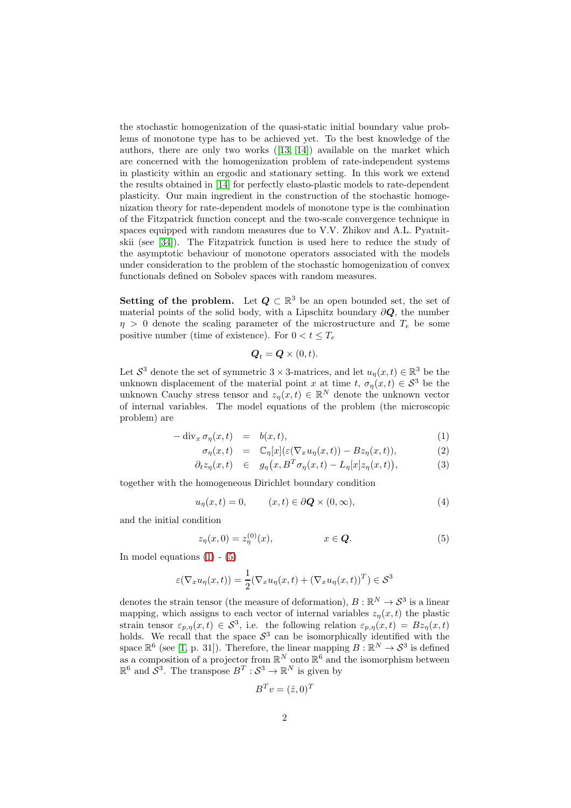the stochastic homogenization of the quasi-static initial boundary value problems of monotone type has to be achieved yet. To the best knowledge of the authors, there are only two works([\[13,](#page-24-5) [14\]](#page-24-6)) available on the market which are concerned with the homogenization problem of rate-independent systems in plasticity within an ergodic and stationary setting. In this work we extend the results obtained in [\[14\]](#page-24-6) for perfectly elasto-plastic models to rate-dependent plasticity. Our main ingredient in the construction of the stochastic homogenization theory for rate-dependent models of monotone type is the combination of the Fitzpatrick function concept and the two-scale convergence technique in spaces equipped with random measures due to V.V. Zhikov and A.L. Pyatnitskii (see [\[34\]](#page-25-4)). The Fitzpatrick function is used here to reduce the study of the asymptotic behaviour of monotone operators associated with the models under consideration to the problem of the stochastic homogenization of convex functionals defined on Sobolev spaces with random measures.

**Setting of the problem.** Let  $Q \subset \mathbb{R}^3$  be an open bounded set, the set of material points of the solid body, with a Lipschitz boundary  $\partial Q$ , the number  $\eta > 0$  denote the scaling parameter of the microstructure and  $T_e$  be some positive number (time of existence). For  $0 < t \leq T_e$ 

$$
\boldsymbol{Q}_t = \boldsymbol{Q} \times (0, t).
$$

Let  $S^3$  denote the set of symmetric 3 × 3-matrices, and let  $u_\eta(x, t) \in \mathbb{R}^3$  be the unknown displacement of the material point x at time t,  $\sigma_n(x,t) \in S^3$  be the unknown Cauchy stress tensor and  $z_{\eta}(x,t) \in \mathbb{R}^{N}$  denote the unknown vector of internal variables. The model equations of the problem (the microscopic problem) are

<span id="page-1-0"></span>
$$
-\operatorname{div}_x \sigma_\eta(x,t) = b(x,t), \tag{1}
$$

$$
\sigma_{\eta}(x,t) = \mathbb{C}_{\eta}[x](\varepsilon(\nabla_x u_{\eta}(x,t)) - Bz_{\eta}(x,t)), \tag{2}
$$

$$
\partial_t z_\eta(x,t) \in g_\eta(x, B^T \sigma_\eta(x,t) - L_\eta[x] z_\eta(x,t)), \tag{3}
$$

together with the homogeneous Dirichlet boundary condition

<span id="page-1-2"></span>
$$
u_{\eta}(x,t) = 0, \qquad (x,t) \in \partial \mathbf{Q} \times (0,\infty), \tag{4}
$$

and the initial condition

<span id="page-1-1"></span>
$$
z_{\eta}(x,0) = z_{\eta}^{(0)}(x), \qquad x \in \mathbf{Q}.
$$
 (5)

In model equations  $(1)$  -  $(5)$ 

$$
\varepsilon(\nabla_x u_\eta(x,t)) = \frac{1}{2} (\nabla_x u_\eta(x,t) + (\nabla_x u_\eta(x,t))^T) \in \mathcal{S}^3
$$

denotes the strain tensor (the measure of deformation),  $B : \mathbb{R}^N \to \mathcal{S}^3$  is a linear mapping, which assigns to each vector of internal variables  $z_n(x, t)$  the plastic strain tensor  $\varepsilon_{p,\eta}(x,t) \in S^3$ , i.e. the following relation  $\varepsilon_{p,\eta}(x,t) = Bz_{\eta}(x,t)$ holds. We recall that the space  $S^3$  can be isomorphically identified with the space  $\mathbb{R}^6$  (see [\[1,](#page-24-7) p. 31]). Therefore, the linear mapping  $B : \mathbb{R}^N \to \mathcal{S}^3$  is defined as a composition of a projector from  $\mathbb{R}^N$  onto  $\mathbb{R}^6$  and the isomorphism between  $\mathbb{R}^6$  and  $\mathcal{S}^3$ . The transpose  $B^T : \mathcal{S}^3 \to \mathbb{R}^N$  is given by

$$
B^T v = (\hat{z}, 0)^T
$$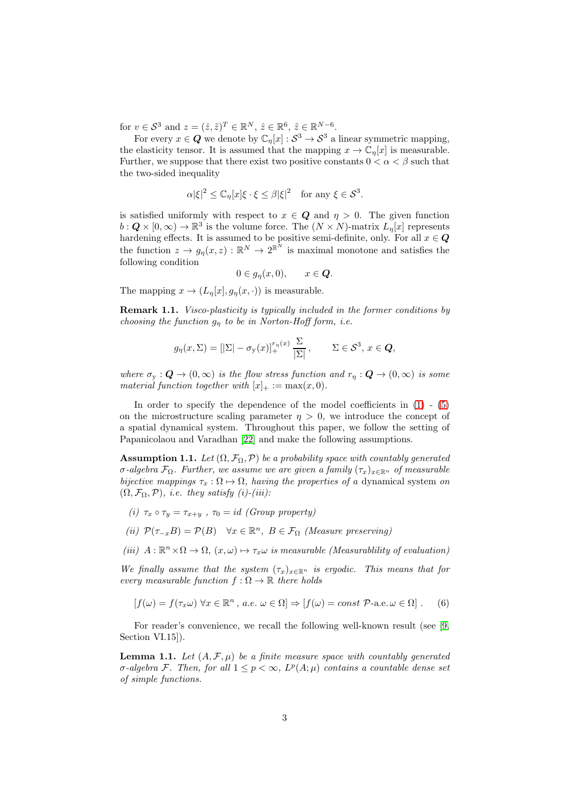for  $v \in S^3$  and  $z = (\hat{z}, \tilde{z})^T \in \mathbb{R}^N$ ,  $\hat{z} \in \mathbb{R}^6$ ,  $\tilde{z} \in \mathbb{R}^{N-6}$ .

For every  $x \in \mathbf{Q}$  we denote by  $\mathbb{C}_\eta[x] : \mathcal{S}^3 \to \mathcal{S}^3$  a linear symmetric mapping, the elasticity tensor. It is assumed that the mapping  $x \to \mathbb{C}_n[x]$  is measurable. Further, we suppose that there exist two positive constants  $0 < \alpha < \beta$  such that the two-sided inequality

$$
\alpha |\xi|^2 \leq \mathbb{C}_\eta[x]\xi \cdot \xi \leq \beta |\xi|^2 \quad \text{for any } \xi \in \mathcal{S}^3.
$$

is satisfied uniformly with respect to  $x \in \mathbf{Q}$  and  $\eta > 0$ . The given function  $b: \mathbf{Q} \times [0, \infty) \to \mathbb{R}^3$  is the volume force. The  $(N \times N)$ -matrix  $L_{\eta}[x]$  represents hardening effects. It is assumed to be positive semi-definite, only. For all  $x \in \mathbb{Q}$ the function  $z \to g_\eta(x, z) : \mathbb{R}^N \to 2^{\mathbb{R}^N}$  is maximal monotone and satisfies the following condition

$$
0\in g_{\eta}(x,0),\qquad x\in Q.
$$

The mapping  $x \to (L_n[x], q_n(x, \cdot))$  is measurable.

**Remark 1.1.** Visco-plasticity is typically included in the former conditions by choosing the function  $g_n$  to be in Norton-Hoff form, i.e.

$$
g_{\eta}(x,\Sigma) = [|\Sigma| - \sigma_{\mathbf{y}}(x)]_{+}^{r_{\eta}(x)} \frac{\Sigma}{|\Sigma|}, \qquad \Sigma \in \mathcal{S}^{3}, x \in \mathbf{Q},
$$

where  $\sigma_{\rm v} : \mathbf{Q} \to (0,\infty)$  is the flow stress function and  $r_n : \mathbf{Q} \to (0,\infty)$  is some material function together with  $[x]_+ := \max(x, 0)$ .

In order to specify the dependence of the model coefficients in [\(1\)](#page-1-0) - [\(5\)](#page-1-1) on the microstructure scaling parameter  $\eta > 0$ , we introduce the concept of a spatial dynamical system. Throughout this paper, we follow the setting of Papanicolaou and Varadhan [\[22\]](#page-25-5) and make the following assumptions.

<span id="page-2-0"></span>**Assumption 1.1.** Let  $(\Omega, \mathcal{F}_{\Omega}, \mathcal{P})$  be a probability space with countably generated σ-algebra  $\mathcal{F}_{\Omega}$ . Further, we assume we are given a family  $(\tau_x)_{x\in\mathbb{R}^n}$  of measurable bijective mappings  $\tau_x : \Omega \mapsto \Omega$ , having the properties of a dynamical system on  $(\Omega, \mathcal{F}_{\Omega}, \mathcal{P})$ , *i.e.* they satisfy (i)-(iii):

- (i)  $\tau_x \circ \tau_y = \tau_{x+y}$ ,  $\tau_0 = id$  (Group property)
- (ii)  $\mathcal{P}(\tau_{-x}B) = \mathcal{P}(B)$   $\forall x \in \mathbb{R}^n, B \in \mathcal{F}_{\Omega}$  (Measure preserving)
- (iii)  $A: \mathbb{R}^n \times \Omega \to \Omega$ ,  $(x, \omega) \mapsto \tau_x \omega$  is measurable (Measurablility of evaluation)

We finally assume that the system  $(\tau_x)_{x\in\mathbb{R}^n}$  is ergodic. This means that for every measurable function  $f : \Omega \to \mathbb{R}$  there holds

$$
[f(\omega) = f(\tau_x \omega) \,\forall x \in \mathbb{R}^n, \, a.e. \, \omega \in \Omega] \Rightarrow [f(\omega) = const \,\mathcal{P}\text{-a.e.} \,\omega \in \Omega] \ . \tag{6}
$$

For reader's convenience, we recall the following well-known result (see [\[9,](#page-24-8) Section VI.15<sup>[1]</sup>.

**Lemma 1.1.** Let  $(A, \mathcal{F}, \mu)$  be a finite measure space with countably generated  $\sigma$ -algebra F. Then, for all  $1 \leq p < \infty$ ,  $L^p(A; \mu)$  contains a countable dense set of simple functions.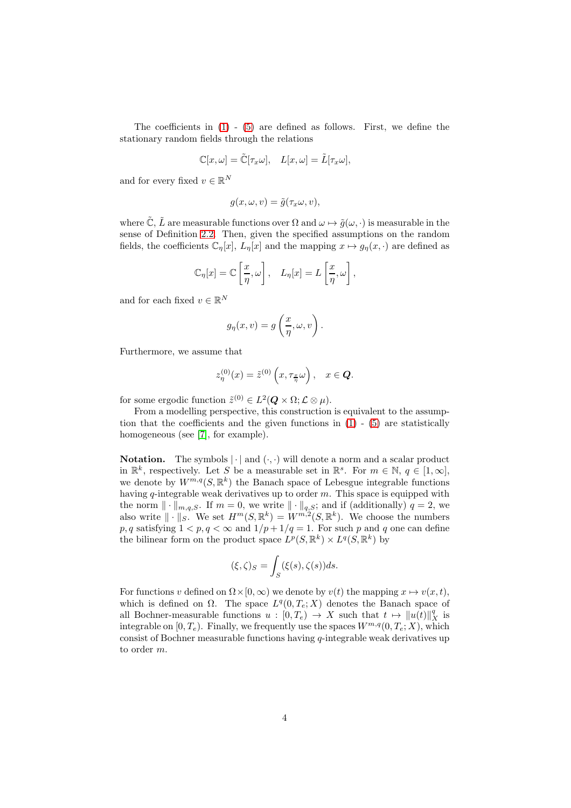The coefficients in  $(1)$  -  $(5)$  are defined as follows. First, we define the stationary random fields through the relations

$$
\mathbb{C}[x,\omega] = \tilde{\mathbb{C}}[\tau_x \omega], \quad L[x,\omega] = \tilde{L}[\tau_x \omega],
$$

and for every fixed  $v \in \mathbb{R}^N$ 

$$
g(x, \omega, v) = \tilde{g}(\tau_x \omega, v),
$$

where  $\tilde{\mathbb{C}}, \tilde{L}$  are measurable functions over  $\Omega$  and  $\omega \mapsto \tilde{g}(\omega, \cdot)$  is measurable in the sense of Definition [2.2.](#page-5-0) Then, given the specified assumptions on the random fields, the coefficients  $\mathbb{C}_\eta[x]$ ,  $L_\eta[x]$  and the mapping  $x \mapsto g_\eta(x, \cdot)$  are defined as

$$
\mathbb{C}_{\eta}[x] = \mathbb{C}\left[\frac{x}{\eta}, \omega\right], \quad L_{\eta}[x] = L\left[\frac{x}{\eta}, \omega\right],
$$

and for each fixed  $v \in \mathbb{R}^N$ 

$$
g_{\eta}(x,v) = g\left(\frac{x}{\eta}, \omega, v\right).
$$

Furthermore, we assume that

$$
z_{\eta}^{(0)}(x) = \tilde{z}^{(0)}\left(x, \tau_{\frac{x}{\eta}}\omega\right), \quad x \in \mathbf{Q}.
$$

for some ergodic function  $\tilde{z}^{(0)} \in L^2(Q \times \Omega; \mathcal{L} \otimes \mu).$ 

From a modelling perspective, this construction is equivalent to the assumption that the coefficients and the given functions in  $(1)$  -  $(5)$  are statistically homogeneous (see [\[7\]](#page-24-9), for example).

**Notation.** The symbols  $|\cdot|$  and  $(\cdot, \cdot)$  will denote a norm and a scalar product in  $\mathbb{R}^k$ , respectively. Let S be a measurable set in  $\mathbb{R}^s$ . For  $m \in \mathbb{N}$ ,  $q \in [1,\infty]$ , we denote by  $W^{m,q}(S,\mathbb{R}^k)$  the Banach space of Lebesgue integrable functions having  $q$ -integrable weak derivatives up to order  $m$ . This space is equipped with the norm  $\|\cdot\|_{m,q,S}$ . If  $m = 0$ , we write  $\|\cdot\|_{q,S}$ ; and if (additionally)  $q = 2$ , we also write  $\|\cdot\|_S$ . We set  $H^m(S, \mathbb{R}^k) = W^{m,2}(S, \mathbb{R}^k)$ . We choose the numbers p, q satisfying  $1 < p, q < \infty$  and  $1/p + 1/q = 1$ . For such p and q one can define the bilinear form on the product space  $L^p(S, \mathbb{R}^k) \times L^q(S, \mathbb{R}^k)$  by

$$
(\xi,\zeta)_S = \int_S (\xi(s),\zeta(s))ds.
$$

For functions v defined on  $\Omega \times [0, \infty)$  we denote by  $v(t)$  the mapping  $x \mapsto v(x, t)$ , which is defined on  $\Omega$ . The space  $L^q(0, T_e; X)$  denotes the Banach space of all Bochner-measurable functions  $u : [0, T_e) \to X$  such that  $t \mapsto ||u(t)||_X^q$  is integrable on  $[0, T_e)$ . Finally, we frequently use the spaces  $W^{m,q}(0, T_e; X)$ , which consist of Bochner measurable functions having  $q$ -integrable weak derivatives up to order m.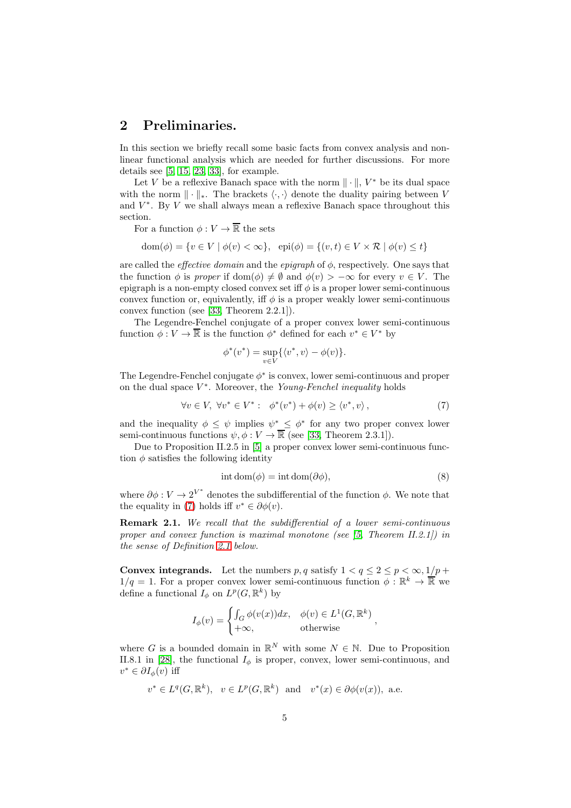## 2 Preliminaries.

In this section we briefly recall some basic facts from convex analysis and nonlinear functional analysis which are needed for further discussions. For more details see  $[5, 15, 23, 33]$  $[5, 15, 23, 33]$  $[5, 15, 23, 33]$  $[5, 15, 23, 33]$ , for example.

Let V be a reflexive Banach space with the norm  $\|\cdot\|$ ,  $V^*$  be its dual space with the norm  $\|\cdot\|_*$ . The brackets  $\langle \cdot, \cdot \rangle$  denote the duality pairing between V and  $V^*$ . By V we shall always mean a reflexive Banach space throughout this section.

For a function  $\phi: V \to \overline{\mathbb{R}}$  the sets

 $dom(\phi) = \{v \in V \mid \phi(v) < \infty\}, \quad \text{epi}(\phi) = \{(v, t) \in V \times \mathcal{R} \mid \phi(v) < t\}$ 

are called the *effective domain* and the *epigraph* of  $\phi$ , respectively. One says that the function  $\phi$  is proper if dom( $\phi$ )  $\neq \emptyset$  and  $\phi(v) > -\infty$  for every  $v \in V$ . The epigraph is a non-empty closed convex set iff  $\phi$  is a proper lower semi-continuous convex function or, equivalently, iff  $\phi$  is a proper weakly lower semi-continuous convex function (see [\[33,](#page-25-7) Theorem 2.2.1]).

The Legendre-Fenchel conjugate of a proper convex lower semi-continuous function  $\phi: V \to \overline{\mathbb{R}}$  is the function  $\phi^*$  defined for each  $v^* \in V^*$  by

$$
\phi^*(v^*) = \sup_{v \in V} \{ \langle v^*, v \rangle - \phi(v) \}.
$$

The Legendre-Fenchel conjugate  $\phi^*$  is convex, lower semi-continuous and proper on the dual space  $V^*$ . Moreover, the Young-Fenchel inequality holds

<span id="page-4-0"></span>
$$
\forall v \in V, \ \forall v^* \in V^* : \ \phi^*(v^*) + \phi(v) \ge \langle v^*, v \rangle, \tag{7}
$$

and the inequality  $\phi \leq \psi$  implies  $\psi^* \leq \phi^*$  for any two proper convex lower semi-continuous functions  $\psi, \phi: V \to \overline{\mathbb{R}}$  (see [\[33,](#page-25-7) Theorem 2.3.1]).

Due to Proposition II.2.5 in [\[5\]](#page-24-10) a proper convex lower semi-continuous function  $\phi$  satisfies the following identity

$$
int dom(\phi) = int dom(\partial \phi), \tag{8}
$$

where  $\partial \phi : V \to 2^{V^*}$  denotes the subdifferential of the function  $\phi$ . We note that the equality in [\(7\)](#page-4-0) holds iff  $v^* \in \partial \phi(v)$ .

Remark 2.1. We recall that the subdifferential of a lower semi-continuous proper and convex function is maximal monotone (see  $(5,$  Theorem II.2.1) in the sense of Definition [2.1](#page-5-1) below.

**Convex integrands.** Let the numbers p, q satisfy  $1 < q \leq 2 \leq p < \infty$ ,  $1/p + q$  $1/q = 1$ . For a proper convex lower semi-continuous function  $\phi : \mathbb{R}^k \to \overline{\mathbb{R}}$  we define a functional  $I_{\phi}$  on  $L^p(G, \mathbb{R}^k)$  by

$$
I_{\phi}(v) = \begin{cases} \int_{G} \phi(v(x))dx, & \phi(v) \in L^{1}(G, \mathbb{R}^{k}) \\ +\infty, & \text{otherwise} \end{cases}
$$

where G is a bounded domain in  $\mathbb{R}^N$  with some  $N \in \mathbb{N}$ . Due to Proposition II.8.1 in [\[28\]](#page-25-8), the functional  $I_{\phi}$  is proper, convex, lower semi-continuous, and  $v^* \in \partial I_{\phi}(v)$  iff

$$
v^* \in L^q(G, \mathbb{R}^k)
$$
,  $v \in L^p(G, \mathbb{R}^k)$  and  $v^*(x) \in \partial \phi(v(x))$ , a.e.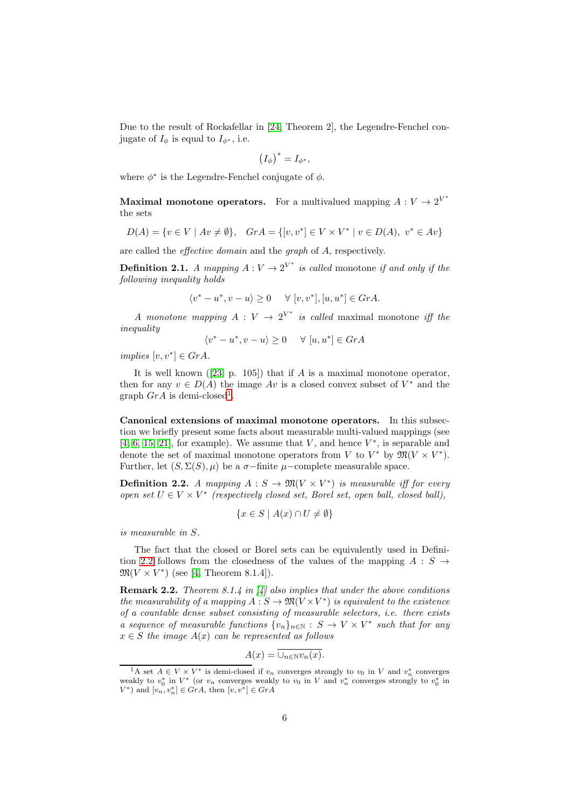Due to the result of Rockafellar in [\[24,](#page-25-9) Theorem 2], the Legendre-Fenchel conjugate of  $I_{\phi}$  is equal to  $I_{\phi^*}$ , i.e.

$$
(I_{\phi})^* = I_{\phi^*},
$$

where  $\phi^*$  is the Legendre-Fenchel conjugate of  $\phi$ .

**Maximal monotone operators.** For a multivalued mapping  $A: V \to 2^{V^*}$ the sets

$$
D(A) = \{v \in V \mid Av \neq \emptyset\}, \quad GrA = \{[v, v^*] \in V \times V^* \mid v \in D(A), \ v^* \in Av\}
$$

are called the effective domain and the graph of A, respectively.

<span id="page-5-1"></span>**Definition 2.1.** A mapping  $A: V \to 2^{V^*}$  is called monotone if and only if the following inequality holds

$$
\langle v^* - u^*, v - u \rangle \ge 0 \quad \forall [v, v^*], [u, u^*] \in GrA.
$$

A monotone mapping  $A: V \to 2^{V^*}$  is called maximal monotone iff the inequality

$$
\langle v^* - u^*, v - u \rangle \ge 0 \quad \forall [u, u^*] \in GrA
$$

 $implies [v, v^*] \in GrA.$ 

Itis well known  $([23, p. 105])$  $([23, p. 105])$  $([23, p. 105])$  that if A is a maximal monotone operator, then for any  $v \in D(A)$  the image  $Av$  is a closed convex subset of  $V^*$  and the graph  $GrA$  is demi-closed<sup>[1](#page-5-2)</sup>.

Canonical extensions of maximal monotone operators. In this subsection we briefly present some facts about measurable multi-valued mappings (see [\[4,](#page-24-12) [6,](#page-24-13) [15,](#page-24-11) [21\]](#page-24-14), for example). We assume that  $V$ , and hence  $V^*$ , is separable and denote the set of maximal monotone operators from V to  $V^*$  by  $\mathfrak{M}(V \times V^*)$ . Further, let  $(S, \Sigma(S), \mu)$  be a  $\sigma$ -finite  $\mu$ -complete measurable space.

<span id="page-5-0"></span>**Definition 2.2.** A mapping  $A : S \to \mathfrak{M}(V \times V^*)$  is measurable iff for every  $open\ set\ U\in V\times V^*\ \ (respectively\ closed\ set,\ Borel\ set,\ open\ ball,\ closed\ ball),$ 

$$
\{x \in S \mid A(x) \cap U \neq \emptyset\}
$$

is measurable in S.

The fact that the closed or Borel sets can be equivalently used in Defini-tion [2.2](#page-5-0) follows from the closedness of the values of the mapping  $A : S \rightarrow$  $\mathfrak{M}(V \times V^*)$  (see [\[4,](#page-24-12) Theorem 8.1.4]).

<span id="page-5-3"></span>**Remark 2.2.** Theorem 8.1.4 in [\[4\]](#page-24-12) also implies that under the above conditions the measurability of a mapping  $A: S \to \mathfrak{M}(V \times V^*)$  is equivalent to the existence of a countable dense subset consisting of measurable selectors, i.e. there exists a sequence of measurable functions  $\{v_n\}_{n\in\mathbb{N}} : S \to V \times V^*$  such that for any  $x \in S$  the image  $A(x)$  can be represented as follows

$$
A(x) = \overline{\cup_{n \in \mathbb{N}} v_n(x)}.
$$

<span id="page-5-2"></span><sup>&</sup>lt;sup>1</sup>A set  $A \in V \times V^*$  is demi-closed if  $v_n$  converges strongly to  $v_0$  in V and  $v_n^*$  converges weakly to  $v_0^*$  in  $V^*$  (or  $v_n$  converges weakly to  $v_0$  in V and  $v_n^*$  converges strongly to  $v_0^*$  in  $V^*$ ) and  $[v_n, v_n^*] \in GrA$ , then  $[v, v^*] \in GrA$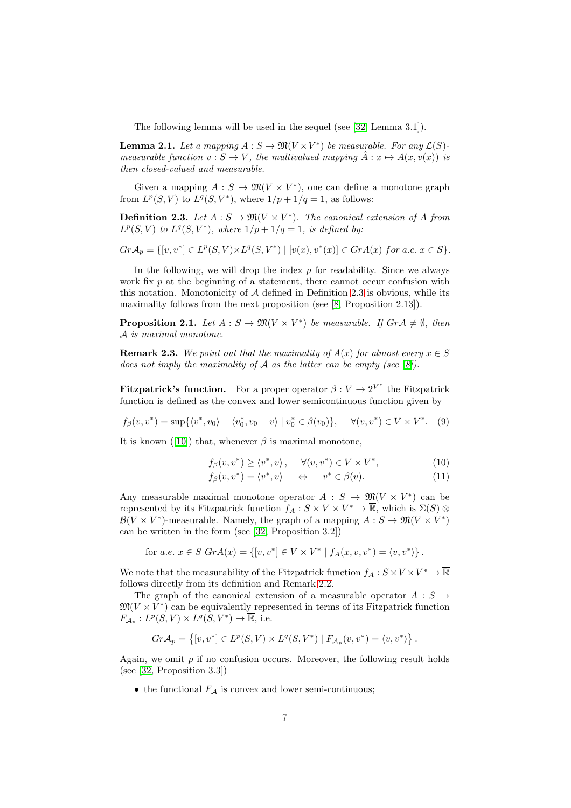The following lemma will be used in the sequel (see [\[32,](#page-25-10) Lemma 3.1]).

**Lemma 2.1.** Let a mapping  $A: S \to \mathfrak{M}(V \times V^*)$  be measurable. For any  $\mathcal{L}(S)$ measurable function  $v : S \to V$ , the multivalued mapping  $\hat{A} : x \mapsto A(x, v(x))$  is then closed-valued and measurable.

Given a mapping  $A: S \to \mathfrak{M}(V \times V^*)$ , one can define a monotone graph from  $L^p(S, V)$  to  $L^q(S, V^*)$ , where  $1/p + 1/q = 1$ , as follows:

<span id="page-6-0"></span>**Definition 2.3.** Let  $A : S \to \mathfrak{M}(V \times V^*)$ . The canonical extension of A from  $L^p(S, V)$  to  $L^q(S, V^*)$ , where  $1/p + 1/q = 1$ , is defined by:

$$
Gr\mathcal{A}_p = \{ [v, v^*] \in L^p(S, V) \times L^q(S, V^*) \mid [v(x), v^*(x)] \in Gr\mathcal{A}(x) \text{ for a.e. } x \in S \}.
$$

In the following, we will drop the index  $p$  for readability. Since we always work fix  $p$  at the beginning of a statement, there cannot occur confusion with this notation. Monotonicity of  $A$  defined in Definition [2.3](#page-6-0) is obvious, while its maximality follows from the next proposition (see [\[8,](#page-24-15) Proposition 2.13]).

**Proposition 2.1.** Let  $A : S \to \mathfrak{M}(V \times V^*)$  be measurable. If  $Gr \mathcal{A} \neq \emptyset$ , then A is maximal monotone.

**Remark 2.3.** We point out that the maximality of  $A(x)$  for almost every  $x \in S$ does not imply the maximality of  $A$  as the latter can be empty (see [\[8\]](#page-24-15)).

**Fitzpatrick's function.** For a proper operator  $\beta: V \to 2^{V^*}$  the Fitzpatrick function is defined as the convex and lower semicontinuous function given by

<span id="page-6-1"></span>
$$
f_{\beta}(v, v^*) = \sup \{ \langle v^*, v_0 \rangle - \langle v_0^*, v_0 - v \rangle \mid v_0^* \in \beta(v_0) \}, \quad \forall (v, v^*) \in V \times V^*.
$$
 (9)

Itis known ([\[10\]](#page-24-16)) that, whenever  $\beta$  is maximal monotone,

<span id="page-6-2"></span>
$$
f_{\beta}(v, v^*) \ge \langle v^*, v \rangle, \quad \forall (v, v^*) \in V \times V^*, \tag{10}
$$

$$
f_{\beta}(v, v^*) = \langle v^*, v \rangle \quad \Leftrightarrow \quad v^* \in \beta(v). \tag{11}
$$

Any measurable maximal monotone operator  $A : S \to \mathfrak{M}(V \times V^*)$  can be represented by its Fitzpatrick function  $f_A: S \times V \times V^* \to \overline{\mathbb{R}}$ , which is  $\Sigma(S) \otimes$  $\mathcal{B}(V \times V^*)$ -measurable. Namely, the graph of a mapping  $A: S \to \mathfrak{M}(V \times V^*)$ can be written in the form (see [\[32,](#page-25-10) Proposition 3.2])

for *a.e.* 
$$
x \in S \text{ } GrA(x) = \{ [v, v^*] \in V \times V^* | f_A(x, v, v^*) = \langle v, v^* \rangle \}.
$$

We note that the measurability of the Fitzpatrick function  $f_A: S \times V \times V^* \to \overline{\mathbb{R}}$ follows directly from its definition and Remark [2.2.](#page-5-3)

The graph of the canonical extension of a measurable operator  $A : S \rightarrow$  $\mathfrak{M}(V\times V^*)$  can be equivalently represented in terms of its Fitzpatrick function  $F_{\mathcal{A}_p}: L^p(S, V) \times L^q(S, V^*) \to \overline{\mathbb{R}}$ , i.e.

$$
Gr\mathcal{A}_p = \left\{ [v, v^*] \in L^p(S, V) \times L^q(S, V^*) \mid F_{\mathcal{A}_p}(v, v^*) = \langle v, v^* \rangle \right\}.
$$

Again, we omit  $p$  if no confusion occurs. Moreover, the following result holds (see [\[32,](#page-25-10) Proposition 3.3])

• the functional  $F_A$  is convex and lower semi-continuous;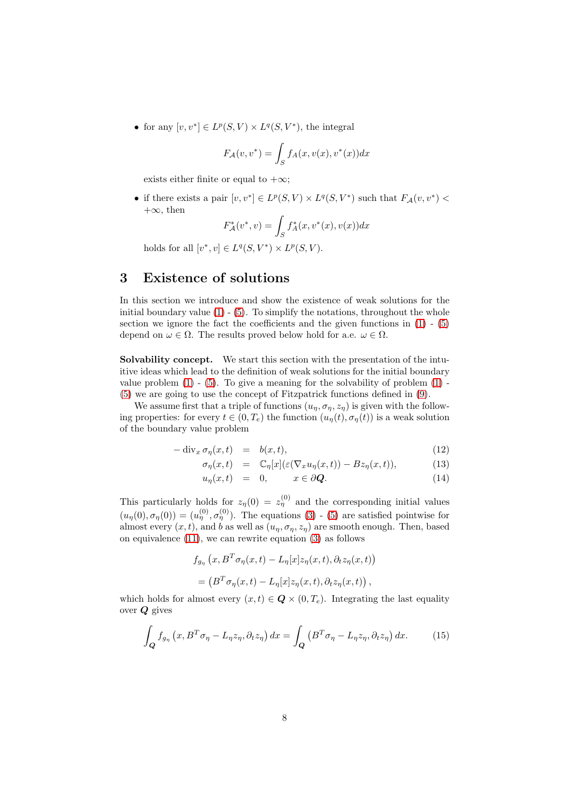• for any  $[v, v^*] \in L^p(S, V) \times L^q(S, V^*)$ , the integral

$$
F_{\mathcal{A}}(v, v^*) = \int_{S} f_A(x, v(x), v^*(x)) dx
$$

exists either finite or equal to  $+\infty$ ;

• if there exists a pair  $[v, v^*] \in L^p(S, V) \times L^q(S, V^*)$  such that  $F_{\mathcal{A}}(v, v^*)$  <  $+\infty$ , then

$$
F_A^*(v^*, v) = \int_S f_A^*(x, v^*(x), v(x)) dx
$$

holds for all  $[v^*, v] \in L^q(S, V^*) \times L^p(S, V)$ .

# 3 Existence of solutions

In this section we introduce and show the existence of weak solutions for the initial boundary value  $(1) - (5)$  $(1) - (5)$ . To simplify the notations, throughout the whole section we ignore the fact the coefficients and the given functions in  $(1)$  -  $(5)$ depend on  $\omega \in \Omega$ . The results proved below hold for a.e.  $\omega \in \Omega$ .

Solvability concept. We start this section with the presentation of the intuitive ideas which lead to the definition of weak solutions for the initial boundary value problem  $(1)$  -  $(5)$ . To give a meaning for the solvability of problem  $(1)$  -[\(5\)](#page-1-1) we are going to use the concept of Fitzpatrick functions defined in [\(9\)](#page-6-1).

We assume first that a triple of functions  $(u_n, \sigma_n, z_n)$  is given with the following properties: for every  $t \in (0, T_e)$  the function  $(u_n(t), \sigma_n(t))$  is a weak solution of the boundary value problem

<span id="page-7-1"></span>
$$
-\operatorname{div}_x \sigma_\eta(x,t) = b(x,t), \qquad (12)
$$

$$
\sigma_{\eta}(x,t) = \mathbb{C}_{\eta}[x](\varepsilon(\nabla_x u_{\eta}(x,t)) - Bz_{\eta}(x,t)), \qquad (13)
$$

$$
u_{\eta}(x,t) = 0, \qquad x \in \partial \mathbf{Q}.
$$
 (14)

This particularly holds for  $z_{\eta}(0) = z_{\eta}^{(0)}$  and the corresponding initial values  $(u_{\eta}(0), \sigma_{\eta}(0)) = (u_{\eta}^{(0)}, \sigma_{\eta}^{(0)})$ . The equations [\(3\)](#page-1-0) - [\(5\)](#page-1-1) are satisfied pointwise for almost every  $(x, t)$ , and b as well as  $(u_n, \sigma_n, z_n)$  are smooth enough. Then, based on equivalence [\(11\)](#page-6-2), we can rewrite equation [\(3\)](#page-1-0) as follows

$$
f_{g_{\eta}}(x, B^T \sigma_{\eta}(x, t) - L_{\eta}[x]z_{\eta}(x, t), \partial_t z_{\eta}(x, t))
$$
  
= 
$$
(B^T \sigma_{\eta}(x, t) - L_{\eta}[x]z_{\eta}(x, t), \partial_t z_{\eta}(x, t)),
$$

which holds for almost every  $(x, t) \in \mathbf{Q} \times (0, T_e)$ . Integrating the last equality over Q gives

<span id="page-7-0"></span>
$$
\int_{\mathbf{Q}} f_{g_{\eta}}\left(x, B^T \sigma_{\eta} - L_{\eta} z_{\eta}, \partial_t z_{\eta}\right) dx = \int_{\mathbf{Q}} \left(B^T \sigma_{\eta} - L_{\eta} z_{\eta}, \partial_t z_{\eta}\right) dx. \tag{15}
$$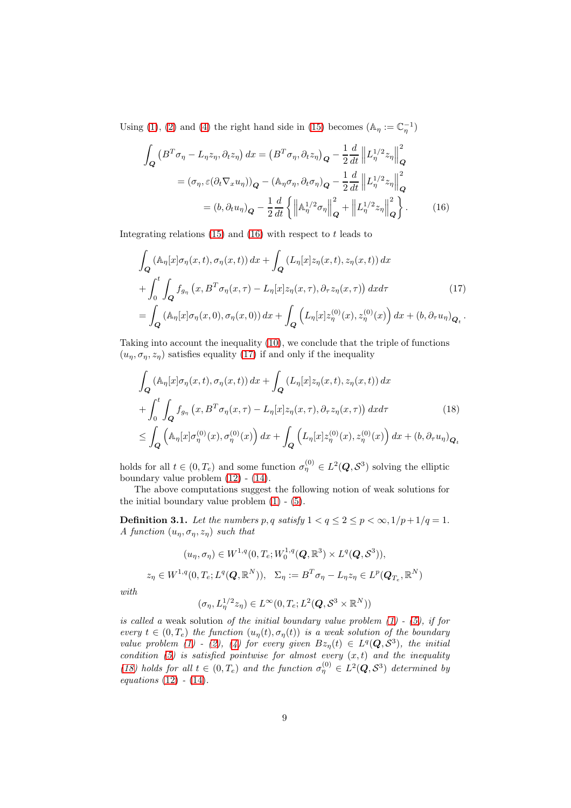Using [\(1\)](#page-1-0), [\(2\)](#page-1-0) and [\(4\)](#page-1-2) the right hand side in [\(15\)](#page-7-0) becomes  $(\mathbb{A}_{\eta} := \mathbb{C}_{\eta}^{-1})$ 

<span id="page-8-0"></span>
$$
\int_{\mathbf{Q}} \left( B^{T} \sigma_{\eta} - L_{\eta} z_{\eta}, \partial_{t} z_{\eta} \right) dx = \left( B^{T} \sigma_{\eta}, \partial_{t} z_{\eta} \right)_{\mathbf{Q}} - \frac{1}{2} \frac{d}{dt} \left\| L_{\eta}^{1/2} z_{\eta} \right\|_{\mathbf{Q}}^{2}
$$
\n
$$
= (\sigma_{\eta}, \varepsilon (\partial_{t} \nabla_{x} u_{\eta}))_{\mathbf{Q}} - (\mathbb{A}_{\eta} \sigma_{\eta}, \partial_{t} \sigma_{\eta})_{\mathbf{Q}} - \frac{1}{2} \frac{d}{dt} \left\| L_{\eta}^{1/2} z_{\eta} \right\|_{\mathbf{Q}}^{2}
$$
\n
$$
= (b, \partial_{t} u_{\eta})_{\mathbf{Q}} - \frac{1}{2} \frac{d}{dt} \left\{ \left\| \mathbb{A}_{\eta}^{1/2} \sigma_{\eta} \right\|_{\mathbf{Q}}^{2} + \left\| L_{\eta}^{1/2} z_{\eta} \right\|_{\mathbf{Q}}^{2} \right\}.
$$
\n(16)

Integrating relations  $(15)$  and  $(16)$  with respect to t leads to

<span id="page-8-1"></span>
$$
\int_{\mathbf{Q}} \left( \mathbb{A}_{\eta}[x] \sigma_{\eta}(x,t), \sigma_{\eta}(x,t) \right) dx + \int_{\mathbf{Q}} \left( L_{\eta}[x] z_{\eta}(x,t), z_{\eta}(x,t) \right) dx \n+ \int_{0}^{t} \int_{\mathbf{Q}} f_{g_{\eta}}(x, B^{T} \sigma_{\eta}(x,\tau) - L_{\eta}[x] z_{\eta}(x,\tau), \partial_{\tau} z_{\eta}(x,\tau) \right) dx d\tau
$$
\n
$$
= \int_{\mathbf{Q}} \left( \mathbb{A}_{\eta}[x] \sigma_{\eta}(x,0), \sigma_{\eta}(x,0) \right) dx + \int_{\mathbf{Q}} \left( L_{\eta}[x] z_{\eta}^{(0)}(x), z_{\eta}^{(0)}(x) \right) dx + (b, \partial_{\tau} u_{\eta})_{\mathbf{Q}_{t}}.
$$
\n
$$
(17)
$$

Taking into account the inequality [\(10\)](#page-6-2), we conclude that the triple of functions  $(u_n, \sigma_n, z_n)$  satisfies equality [\(17\)](#page-8-1) if and only if the inequality

<span id="page-8-2"></span>
$$
\int_{\mathbf{Q}} \left( \mathbb{A}_{\eta}[x] \sigma_{\eta}(x,t), \sigma_{\eta}(x,t) \right) dx + \int_{\mathbf{Q}} \left( L_{\eta}[x] z_{\eta}(x,t), z_{\eta}(x,t) \right) dx \n+ \int_{0}^{t} \int_{\mathbf{Q}} f_{g_{\eta}}(x, B^{T} \sigma_{\eta}(x,\tau) - L_{\eta}[x] z_{\eta}(x,\tau), \partial_{\tau} z_{\eta}(x,\tau) \right) dx d\tau
$$
\n
$$
\leq \int_{\mathbf{Q}} \left( \mathbb{A}_{\eta}[x] \sigma_{\eta}^{(0)}(x), \sigma_{\eta}^{(0)}(x) \right) dx + \int_{\mathbf{Q}} \left( L_{\eta}[x] z_{\eta}^{(0)}(x), z_{\eta}^{(0)}(x) \right) dx + (b, \partial_{\tau} u_{\eta})_{\mathbf{Q}_{t}}
$$
\n
$$
(18)
$$

holds for all  $t \in (0, T_e)$  and some function  $\sigma_{\eta}^{(0)} \in L^2(Q, S^3)$  solving the elliptic boundary value problem [\(12\)](#page-7-1) - [\(14\)](#page-7-1).

The above computations suggest the following notion of weak solutions for the initial boundary value problem [\(1\)](#page-1-0) - [\(5\)](#page-1-1).

<span id="page-8-3"></span>**Definition 3.1.** Let the numbers p, q satisfy  $1 < q \leq 2 \leq p < \infty$ ,  $1/p + 1/q = 1$ . A function  $(u_n, \sigma_n, z_n)$  such that

$$
(u_{\eta}, \sigma_{\eta}) \in W^{1,q}(0, T_e; W_0^{1,q}(\boldsymbol{Q}, \mathbb{R}^3) \times L^q(\boldsymbol{Q}, \mathcal{S}^3)),
$$
  

$$
z_{\eta} \in W^{1,q}(0, T_e; L^q(\boldsymbol{Q}, \mathbb{R}^N)), \quad \Sigma_{\eta} := B^T \sigma_{\eta} - L_{\eta} z_{\eta} \in L^p(\boldsymbol{Q}_{T_e}, \mathbb{R}^N)
$$

with

$$
(\sigma_\eta, L_\eta^{1/2} z_\eta) \in L^\infty(0,T_e; L^2(\boldsymbol{Q},\mathcal{S}^3\times\mathbb{R}^N))
$$

is called a weak solution of the initial boundary value problem  $(1)$  -  $(5)$ , if for every  $t \in (0, T_e)$  the function  $(u_n(t), \sigma_n(t))$  is a weak solution of the boundary value problem [\(1\)](#page-1-0) - [\(2\)](#page-1-0), [\(4\)](#page-1-2) for every given  $Bz_n(t) \in L^q(Q, S^3)$ , the initial condition [\(5\)](#page-1-1) is satisfied pointwise for almost every  $(x, t)$  and the inequality [\(18\)](#page-8-2) holds for all  $t \in (0, T_e)$  and the function  $\sigma_{\eta}^{(0)} \in L^2(Q, S^3)$  determined by equations [\(12\)](#page-7-1) - [\(14\)](#page-7-1).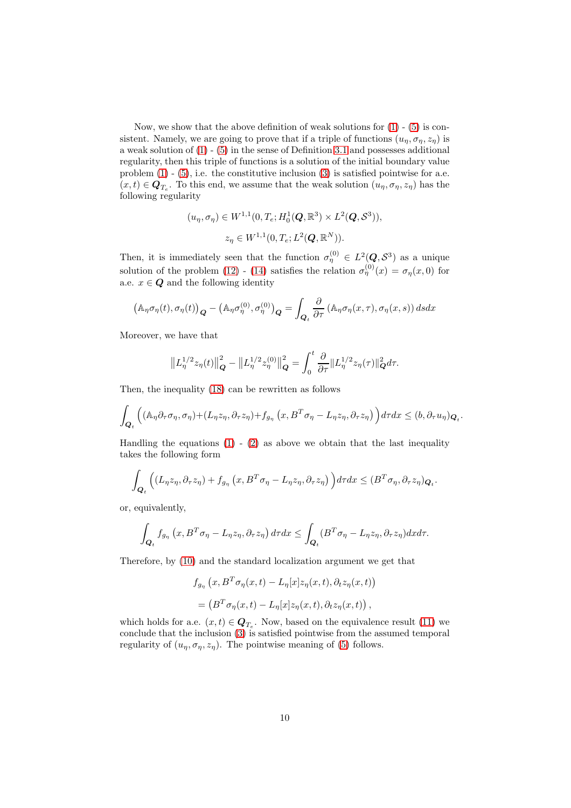Now, we show that the above definition of weak solutions for  $(1)$  -  $(5)$  is consistent. Namely, we are going to prove that if a triple of functions  $(u_n, \sigma_n, z_n)$  is a weak solution of [\(1\)](#page-1-0) - [\(5\)](#page-1-1) in the sense of Definition [3.1](#page-8-3) and possesses additional regularity, then this triple of functions is a solution of the initial boundary value problem  $(1)$  -  $(5)$ , i.e. the constitutive inclusion  $(3)$  is satisfied pointwise for a.e.  $(x,t) \in \mathbf{Q}_{T_e}$ . To this end, we assume that the weak solution  $(u_{\eta}, \sigma_{\eta}, z_{\eta})$  has the following regularity

$$
(u_{\eta}, \sigma_{\eta}) \in W^{1,1}(0, T_e; H_0^1(\mathbf{Q}, \mathbb{R}^3) \times L^2(\mathbf{Q}, \mathcal{S}^3)),
$$
  

$$
z_{\eta} \in W^{1,1}(0, T_e; L^2(\mathbf{Q}, \mathbb{R}^N)).
$$

Then, it is immediately seen that the function  $\sigma_{\eta}^{(0)} \in L^2(Q, \mathcal{S}^3)$  as a unique solution of the problem [\(12\)](#page-7-1) - [\(14\)](#page-7-1) satisfies the relation  $\sigma_{\eta}^{(0)}(x) = \sigma_{\eta}(x,0)$  for a.e.  $x \in \mathbf{Q}$  and the following identity

$$
(\mathbb{A}_{\eta}\sigma_{\eta}(t),\sigma_{\eta}(t))_{\mathbf{Q}} - (\mathbb{A}_{\eta}\sigma_{\eta}^{(0)},\sigma_{\eta}^{(0)})_{\mathbf{Q}} = \int_{\mathbf{Q}_{t}} \frac{\partial}{\partial \tau} (\mathbb{A}_{\eta}\sigma_{\eta}(x,\tau),\sigma_{\eta}(x,s)) ds dx
$$

Moreover, we have that

$$
\left\| L_{\eta}^{1/2} z_{\eta}(t) \right\|_{\mathbf{Q}}^2 - \left\| L_{\eta}^{1/2} z_{\eta}^{(0)} \right\|_{\mathbf{Q}}^2 = \int_0^t \frac{\partial}{\partial \tau} \left\| L_{\eta}^{1/2} z_{\eta}(\tau) \right\|_{\mathbf{Q}}^2 d\tau.
$$

Then, the inequality [\(18\)](#page-8-2) can be rewritten as follows

$$
\int_{\mathbf{Q}_t} \left( (\mathbb{A}_{\eta} \partial_{\tau} \sigma_{\eta}, \sigma_{\eta}) + (L_{\eta} z_{\eta}, \partial_{\tau} z_{\eta}) + f_{g_{\eta}} \left( x, B^T \sigma_{\eta} - L_{\eta} z_{\eta}, \partial_{\tau} z_{\eta} \right) \right) d\tau dx \leq (b, \partial_{\tau} u_{\eta})_{\mathbf{Q}_t}.
$$

Handling the equations  $(1)$  -  $(2)$  as above we obtain that the last inequality takes the following form

$$
\int_{\mathbf{Q}_t} \left( (L_{\eta} z_{\eta}, \partial_{\tau} z_{\eta}) + f_{g_{\eta}} \left( x, B^T \sigma_{\eta} - L_{\eta} z_{\eta}, \partial_{\tau} z_{\eta} \right) \right) d\tau dx \leq (B^T \sigma_{\eta}, \partial_{\tau} z_{\eta})_{\mathbf{Q}_t}.
$$

or, equivalently,

$$
\int_{\mathbf{Q}_t} f_{g_{\eta}}(x, B^T \sigma_{\eta} - L_{\eta} z_{\eta}, \partial_{\tau} z_{\eta}) d\tau dx \leq \int_{\mathbf{Q}_t} (B^T \sigma_{\eta} - L_{\eta} z_{\eta}, \partial_{\tau} z_{\eta}) dxd\tau.
$$

Therefore, by [\(10\)](#page-6-2) and the standard localization argument we get that

$$
f_{g_{\eta}}(x, B^T \sigma_{\eta}(x, t) - L_{\eta}[x]z_{\eta}(x, t), \partial_t z_{\eta}(x, t))
$$
  
=  $(B^T \sigma_{\eta}(x, t) - L_{\eta}[x]z_{\eta}(x, t), \partial_t z_{\eta}(x, t)),$ 

which holds for a.e.  $(x, t) \in \mathbf{Q}_{T_e}$ . Now, based on the equivalence result [\(11\)](#page-6-2) we conclude that the inclusion [\(3\)](#page-1-0) is satisfied pointwise from the assumed temporal regularity of  $(u_{\eta}, \sigma_{\eta}, z_{\eta})$ . The pointwise meaning of [\(5\)](#page-1-1) follows.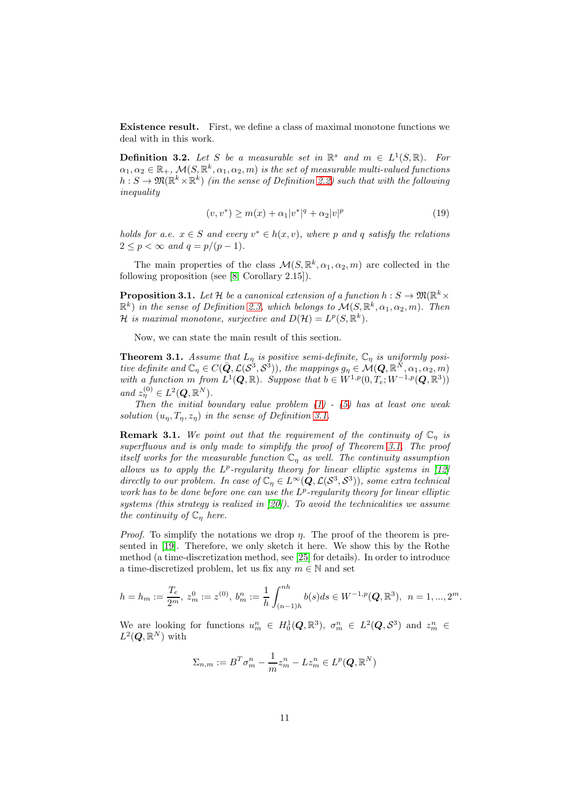Existence result. First, we define a class of maximal monotone functions we deal with in this work.

**Definition 3.2.** Let S be a measurable set in  $\mathbb{R}^s$  and  $m \in L^1(S, \mathbb{R})$ . For  $\alpha_1, \alpha_2 \in \mathbb{R}_+$ ,  $\mathcal{M}(S, \mathbb{R}^k, \alpha_1, \alpha_2, m)$  is the set of measurable multi-valued functions  $h: S \to \mathfrak{M}(\mathbb{R}^k \times \mathbb{R}^k)$  (in the sense of Definition [2.2\)](#page-5-0) such that with the following inequality

<span id="page-10-1"></span>
$$
(v, v^*) \ge m(x) + \alpha_1 |v^*|^q + \alpha_2 |v|^p \tag{19}
$$

holds for a.e.  $x \in S$  and every  $v^* \in h(x, v)$ , where p and q satisfy the relations  $2 \leq p < \infty$  and  $q = p/(p-1)$ .

The main properties of the class  $\mathcal{M}(S, \mathbb{R}^k, \alpha_1, \alpha_2, m)$  are collected in the following proposition (see [\[8,](#page-24-15) Corollary 2.15]).

**Proposition 3.1.** Let H be a canonical extension of a function  $h: S \to \mathfrak{M}(\mathbb{R}^k \times$  $(\mathbb{R}^k)$  in the sense of Definition [2.3,](#page-6-0) which belongs to  $\mathcal{M}(S, \mathbb{R}^k, \alpha_1, \alpha_2, m)$ . Then  $\mathcal H$  is maximal monotone, surjective and  $D(\mathcal H) = L^p(S,\mathbb R^k)$ .

Now, we can state the main result of this section.

<span id="page-10-0"></span>**Theorem 3.1.** Assume that  $L_n$  is positive semi-definite,  $\mathbb{C}_n$  is uniformly positive definite and  $\mathbb{C}_\eta \in C(\bar{\mathbf{Q}}, \mathcal{L}(\mathcal{S}^3, \mathcal{S}^3))$ , the mappings  $g_\eta \in \mathcal{M}(\mathbf{Q}, \mathbb{R}^N, \alpha_1, \alpha_2, m)$ with a function m from  $L^1(\mathbf{Q}, \mathbb{R})$ . Suppose that  $b \in W^{1,p}(0, T_e; W^{-1,p}(\mathbf{Q}, \mathbb{R}^3))$ and  $z_{\eta}^{(0)} \in L^2(Q,\mathbb{R}^N)$ .

Then the initial boundary value problem  $(1)$  -  $(5)$  has at least one weak solution  $(u_n, T_n, z_n)$  in the sense of Definition [3.1.](#page-8-3)

**Remark 3.1.** We point out that the requirement of the continuity of  $\mathbb{C}_n$  is superfluous and is only made to simplify the proof of Theorem [3.1.](#page-10-0) The proof itself works for the measurable function  $\mathbb{C}_n$  as well. The continuity assumption allows us to apply the  $L^p$ -regularity theory for linear elliptic systems in [\[12\]](#page-24-17) directly to our problem. In case of  $\mathbb{C}_\eta \in L^\infty(Q,\mathcal{L}(\mathcal{S}^3,\mathcal{S}^3))$ , some extra technical work has to be done before one can use the  $L^p$ -regularity theory for linear elliptic systems (this strategy is realized in  $[20]$ ). To avoid the technicalities we assume the continuity of  $\mathbb{C}_{\eta}$  here.

*Proof.* To simplify the notations we drop  $\eta$ . The proof of the theorem is presented in [\[19\]](#page-24-4). Therefore, we only sketch it here. We show this by the Rothe method (a time-discretization method, see [\[25\]](#page-25-11) for details). In order to introduce a time-discretized problem, let us fix any  $m \in \mathbb{N}$  and set

$$
h = h_m := \frac{T_e}{2^m}, \ z_m^0 := z^{(0)}, \ b_m^n := \frac{1}{h} \int_{(n-1)h}^{nh} b(s)ds \in W^{-1,p}(\mathbf{Q}, \mathbb{R}^3), \ n = 1, ..., 2^m.
$$

We are looking for functions  $u_m^n \in H_0^1(Q,\mathbb{R}^3)$ ,  $\sigma_m^n \in L^2(Q,\mathcal{S}^3)$  and  $z_m^n \in \mathbb{R}$  $L^2(\boldsymbol{Q},\mathbb{R}^N)$  with

$$
\Sigma_{n,m} := B^T \sigma_m^n - \frac{1}{m} z_m^n - L z_m^n \in L^p(Q, \mathbb{R}^N)
$$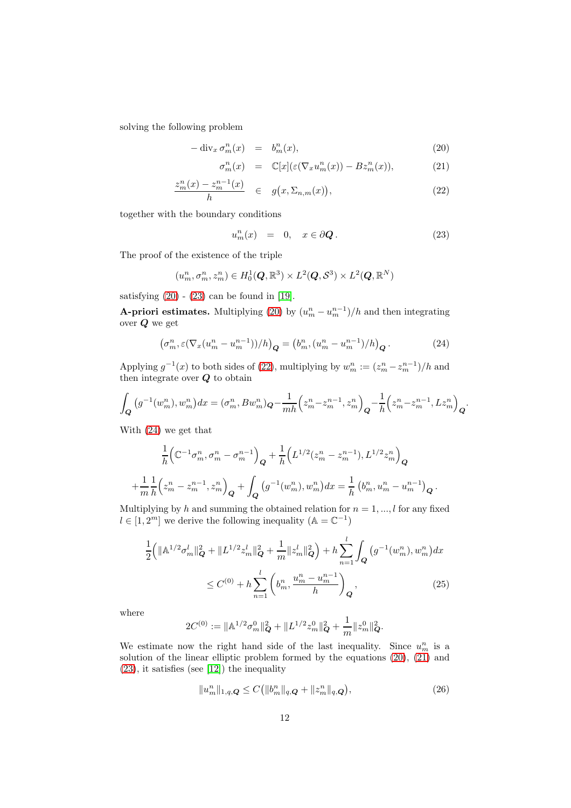solving the following problem

<span id="page-11-0"></span>
$$
-\operatorname{div}_x \sigma_m^n(x) = b_m^n(x), \qquad (20)
$$

$$
\sigma_m^n(x) = \mathbb{C}[x] (\varepsilon(\nabla_x u_m^n(x)) - Bz_m^n(x)), \tag{21}
$$

$$
\frac{z_m^n(x) - z_m^{n-1}(x)}{h} \quad \in \quad g(x, \Sigma_{n,m}(x)), \tag{22}
$$

together with the boundary conditions

<span id="page-11-1"></span>
$$
u_m^n(x) = 0, \quad x \in \partial \mathbf{Q}. \tag{23}
$$

The proof of the existence of the triple

$$
(u_m^n, \sigma_m^n, z_m^n) \in H_0^1(\mathbf{Q}, \mathbb{R}^3) \times L^2(\mathbf{Q}, \mathcal{S}^3) \times L^2(\mathbf{Q}, \mathbb{R}^N)
$$

satisfying  $(20)$  -  $(23)$  can be found in [\[19\]](#page-24-4).

**A-priori estimates.** Multiplying [\(20\)](#page-11-0) by  $(u_m^n - u_m^{n-1})/h$  and then integrating over Q we get

<span id="page-11-2"></span>
$$
\left(\sigma_m^n, \varepsilon (\nabla_x (u_m^n - u_m^{n-1})) / h\right)_{\mathbf{Q}} = \left(b_m^n, (u_m^n - u_m^{n-1}) / h\right)_{\mathbf{Q}}.\tag{24}
$$

Applying  $g^{-1}(x)$  to both sides of [\(22\)](#page-11-0), multiplying by  $w_m^n := (z_m^n - z_m^{n-1})/h$  and then integrate over  $Q$  to obtain

$$
\int_{\mathbf{Q}} (g^{-1}(w_m^n), w_m^n) dx = (\sigma_m^n, Bw_m^n) \mathbf{Q} - \frac{1}{mh} \left( z_m^n - z_m^{n-1}, z_m^n \right) \mathbf{Q} - \frac{1}{h} \left( z_m^n - z_m^{n-1}, L z_m^n \right) \mathbf{Q}.
$$

With [\(24\)](#page-11-2) we get that

$$
\frac{1}{h} \Big( \mathbb{C}^{-1} \sigma_m^n, \sigma_m^n - \sigma_m^{n-1} \Big)_{\mathbf{Q}} + \frac{1}{h} \Big( L^{1/2} (z_m^n - z_m^{n-1}), L^{1/2} z_m^n \Big)_{\mathbf{Q}}
$$
\n
$$
+ \frac{1}{m} \frac{1}{h} \Big( z_m^n - z_m^{n-1}, z_m^n \Big)_{\mathbf{Q}} + \int_{\mathbf{Q}} \left( g^{-1} (w_m^n), w_m^n \right) dx = \frac{1}{h} \left( b_m^n, u_m^n - u_m^{n-1} \right)_{\mathbf{Q}}.
$$

Multiplying by h and summing the obtained relation for  $n = 1, ..., l$  for any fixed  $l \in [1,2^m]$  we derive the following inequality  $(\mathbb{A} = \mathbb{C}^{-1})$ 

<span id="page-11-4"></span>
$$
\frac{1}{2} \left( \|\mathbb{A}^{1/2} \sigma_m^l\|_Q^2 + \|L^{1/2} z_m^l\|_Q^2 + \frac{1}{m} \|z_m^l\|_Q^2 \right) + h \sum_{n=1}^l \int_Q \left( g^{-1}(w_m^n), w_m^n \right) dx
$$
  

$$
\leq C^{(0)} + h \sum_{n=1}^l \left( b_m^n, \frac{u_m^n - u_m^{n-1}}{h} \right)_Q, \tag{25}
$$

where

 $\overline{a}$ 

$$
2C^{(0)} := \|\mathbb{A}^{1/2}\sigma_m^0\|_{\mathbf{Q}}^2 + \|L^{1/2}z_m^0\|_{\mathbf{Q}}^2 + \frac{1}{m}\|z_m^0\|_{\mathbf{Q}}^2.
$$

We estimate now the right hand side of the last inequality. Since  $u_m^n$  is a solution of the linear elliptic problem formed by the equations [\(20\)](#page-11-0), [\(21\)](#page-11-0) and [\(23\)](#page-11-1), it satisfies (see [\[12\]](#page-24-17)) the inequality

<span id="page-11-3"></span>
$$
||u_m^n||_{1,q,Q} \le C(||b_m^n||_{q,Q} + ||z_m^n||_{q,Q}),
$$
\n(26)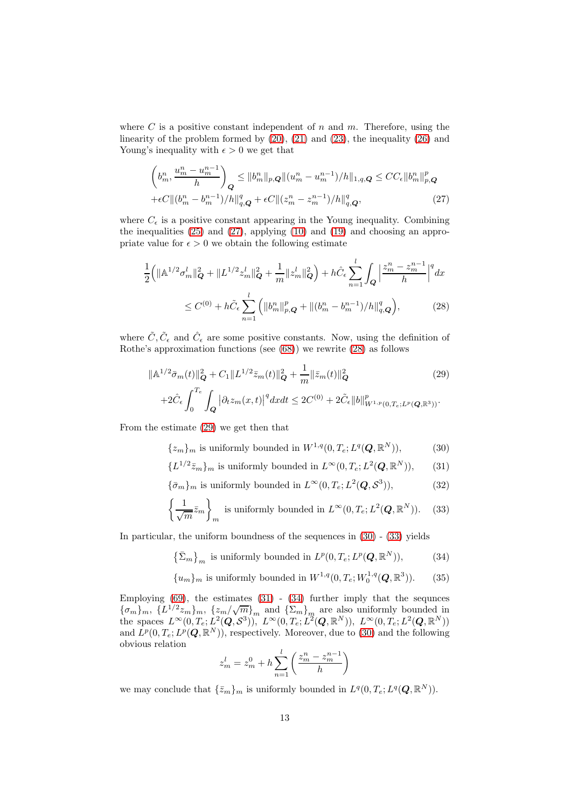where  $C$  is a positive constant independent of  $n$  and  $m$ . Therefore, using the linearity of the problem formed by [\(20\)](#page-11-0), [\(21\)](#page-11-0) and [\(23\)](#page-11-1), the inequality [\(26\)](#page-11-3) and Young's inequality with  $\epsilon > 0$  we get that

<span id="page-12-0"></span>
$$
\left(b_m^n, \frac{u_m^n - u_m^{n-1}}{h}\right)_Q \le ||b_m^n||_{p,Q} ||(u_m^n - u_m^{n-1})/h||_{1,q,Q} \le CC_{\epsilon} ||b_m^n||_{p,Q}^p
$$
  
+ $\epsilon C ||(b_m^n - b_m^{n-1})/h||_{q,Q}^q + \epsilon C ||(z_m^n - z_m^{n-1})/h||_{q,Q}^q,$  (27)

where  $C_{\epsilon}$  is a positive constant appearing in the Young inequality. Combining the inequalities [\(25\)](#page-11-4) and [\(27\)](#page-12-0), applying [\(10\)](#page-6-2) and [\(19\)](#page-10-1) and choosing an appropriate value for  $\epsilon > 0$  we obtain the following estimate

<span id="page-12-1"></span>
$$
\frac{1}{2} \Big( \|\mathbb{A}^{1/2} \sigma_m^l\|_{\mathbf{Q}}^2 + \|L^{1/2} z_m^l\|_{\mathbf{Q}}^2 + \frac{1}{m} \|z_m^l\|_{\mathbf{Q}}^2 \Big) + h \hat{C}_{\epsilon} \sum_{n=1}^l \int_{\mathbf{Q}} \Big| \frac{z_m^n - z_m^{n-1}}{h} \Big|^q dx
$$
  

$$
\leq C^{(0)} + h \tilde{C}_{\epsilon} \sum_{n=1}^l \Big( \|b_m^n\|_{p,\mathbf{Q}}^p + \| (b_m^n - b_m^{n-1})/h \|_{q,\mathbf{Q}}^q \Big),
$$
 (28)

where  $\tilde{C}, \tilde{C}_{\epsilon}$  and  $\hat{C}_{\epsilon}$  are some positive constants. Now, using the definition of Rothe's approximation functions (see [\(68\)](#page-23-0)) we rewrite [\(28\)](#page-12-1) as follows

<span id="page-12-2"></span>
$$
\|\mathbb{A}^{1/2}\bar{\sigma}_{m}(t)\|_{\mathbf{Q}}^{2} + C_{1} \|L^{1/2}\bar{z}_{m}(t)\|_{\mathbf{Q}}^{2} + \frac{1}{m} \|\bar{z}_{m}(t)\|_{\mathbf{Q}}^{2} \qquad (29)
$$
  
+2 $\hat{C}_{\epsilon} \int_{0}^{T_{e}} \int_{\mathbf{Q}} \left|\partial_{t} z_{m}(x,t)\right|^{q} dx dt \le 2C^{(0)} + 2\tilde{C}_{\epsilon} \|b\|_{W^{1,p}(0,T_{e};L^{p}(\mathbf{Q},\mathbb{R}^{3}))}^{p}.$ 

From the estimate [\(29\)](#page-12-2) we get then that

<span id="page-12-3"></span>
$$
\{z_m\}_m \text{ is uniformly bounded in } W^{1,q}(0,T_e;L^q(\boldsymbol{Q},\mathbb{R}^N)),\tag{30}
$$

$$
\{L^{1/2}\bar{z}_m\}_m \text{ is uniformly bounded in } L^{\infty}(0, T_e; L^2(\boldsymbol{Q}, \mathbb{R}^N)),\qquad(31)
$$

$$
\{\bar{\sigma}_m\}_m
$$
 is uniformly bounded in  $L^{\infty}(0, T_e; L^2(\mathbf{Q}, \mathcal{S}^3)),$  (32)

$$
\left\{\frac{1}{\sqrt{m}}\bar{z}_m\right\}_m
$$
 is uniformly bounded in  $L^{\infty}(0, T_e; L^2(\boldsymbol{Q}, \mathbb{R}^N))$ . (33)

In particular, the uniform boundness of the sequences in [\(30\)](#page-12-3) - [\(33\)](#page-12-3) yields

<span id="page-12-4"></span>
$$
\left\{\bar{\Sigma}_m\right\}_m \text{ is uniformly bounded in } L^p(0, T_e; L^p(\boldsymbol{Q}, \mathbb{R}^N)),\tag{34}
$$

$$
{u_m}_m
$$
 is uniformly bounded in  $W^{1,q}(0, T_e; W_0^{1,q}(\boldsymbol{Q}, \mathbb{R}^3)).$  (35)

Employing  $(69)$ , the estimates  $(31)$  -  $(34)$  further imply that the sequnces  ${\{\sigma_m\}_m, \ \{L^{1/2}z_m\}_m, \ \{z_m/\sqrt{m}\}_m \text{ and } {\{\Sigma_m\}}_m \text{ are also uniformly bounded in } \}$ the spaces  $L^{\infty}(0,T_e; L^2(Q,S^3))$ ,  $L^{\infty}(0,T_e; L^2(Q,\mathbb{R}^N))$ ,  $L^{\infty}(0,T_e; L^2(Q,\mathbb{R}^N))$ and  $L^p(0, T_e; L^p(Q, \mathbb{R}^N))$ , respectively. Moreover, due to [\(30\)](#page-12-3) and the following obvious relation

$$
z_m^l = z_m^0 + h \sum_{n=1}^l \left( \frac{z_m^n - z_m^{n-1}}{h} \right)
$$

we may conclude that  $\{\bar{z}_m\}_m$  is uniformly bounded in  $L^q(0, T_e; L^q(\boldsymbol{Q}, \mathbb{R}^N)).$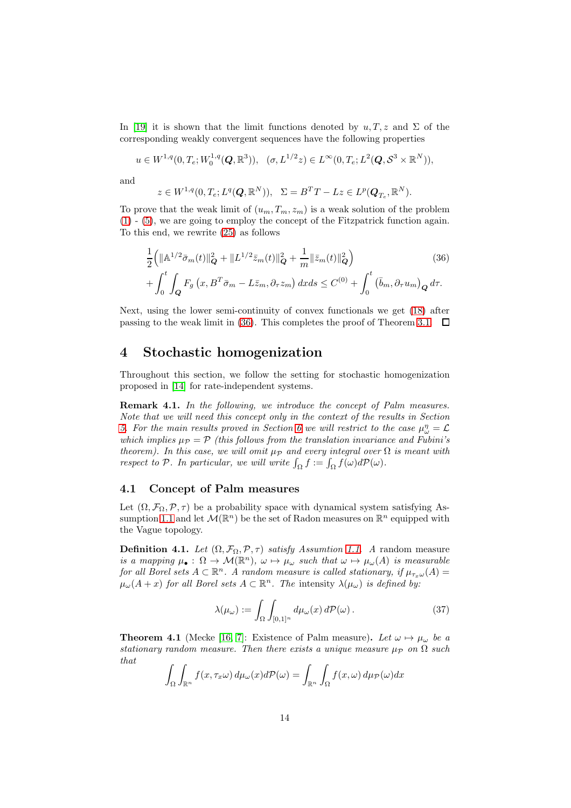In [\[19\]](#page-24-4) it is shown that the limit functions denoted by  $u, T, z$  and  $\Sigma$  of the corresponding weakly convergent sequences have the following properties

$$
u \in W^{1,q}(0,T_e;W_0^{1,q}(Q,\mathbb{R}^3)), \quad (\sigma, L^{1/2}z) \in L^{\infty}(0,T_e;L^2(Q,\mathcal{S}^3\times\mathbb{R}^N)),
$$

and

$$
z \in W^{1,q}(0, T_e; L^q(\boldsymbol{Q}, \mathbb{R}^N)), \ \ \Sigma = B^T T - L z \in L^p(\boldsymbol{Q}_{T_e}, \mathbb{R}^N).
$$

To prove that the weak limit of  $(u_m, T_m, z_m)$  is a weak solution of the problem [\(1\)](#page-1-0) - [\(5\)](#page-1-1), we are going to employ the concept of the Fitzpatrick function again. To this end, we rewrite [\(25\)](#page-11-4) as follows

<span id="page-13-0"></span>
$$
\frac{1}{2} \Big( \|\mathbb{A}^{1/2} \bar{\sigma}_m(t)\|_{\mathbf{Q}}^2 + \|L^{1/2} \bar{z}_m(t)\|_{\mathbf{Q}}^2 + \frac{1}{m} \|\bar{z}_m(t)\|_{\mathbf{Q}}^2 \Big) \qquad (36)
$$
\n
$$
+ \int_0^t \int_{\mathbf{Q}} F_g \left( x, B^T \bar{\sigma}_m - L \bar{z}_m, \partial_\tau z_m \right) dx ds \le C^{(0)} + \int_0^t \left( \bar{b}_m, \partial_\tau u_m \right)_{\mathbf{Q}} d\tau.
$$

Next, using the lower semi-continuity of convex functionals we get [\(18\)](#page-8-2) after passing to the weak limit in [\(36\)](#page-13-0). This completes the proof of Theorem [3.1.](#page-10-0)  $\Box$ 

### 4 Stochastic homogenization

Throughout this section, we follow the setting for stochastic homogenization proposed in [\[14\]](#page-24-6) for rate-independent systems.

<span id="page-13-1"></span>Remark 4.1. In the following, we introduce the concept of Palm measures. Note that we will need this concept only in the context of the results in Section [5.](#page-17-0) For the main results proved in Section [6](#page-20-0) we will restrict to the case  $\mu_{\omega}^{\eta} = \mathcal{L}$ which implies  $\mu_{\mathcal{P}} = \mathcal{P}$  (this follows from the translation invariance and Fubini's theorem). In this case, we will omit  $\mu_{\mathcal{P}}$  and every integral over  $\Omega$  is meant with respect to P. In particular, we will write  $\int_{\Omega} f := \int_{\Omega} f(\omega) dP(\omega)$ .

#### 4.1 Concept of Palm measures

Let  $(\Omega, \mathcal{F}_{\Omega}, \mathcal{P}, \tau)$  be a probability space with dynamical system satisfying As-sumption [1.1](#page-2-0) and let  $\mathcal{M}(\mathbb{R}^n)$  be the set of Radon measures on  $\mathbb{R}^n$  equipped with the Vague topology.

**Definition 4.1.** Let  $(\Omega, \mathcal{F}_{\Omega}, \mathcal{P}, \tau)$  satisfy Assumtion [1.1.](#page-2-0) A random measure is a mapping  $\mu_{\bullet}: \Omega \to \mathcal{M}(\mathbb{R}^n)$ ,  $\omega \mapsto \mu_{\omega}$  such that  $\omega \mapsto \mu_{\omega}(A)$  is measurable for all Borel sets  $A \subset \mathbb{R}^n$ . A random measure is called stationary, if  $\mu_{\tau_x \omega}(A) =$  $\mu_{\omega}(A+x)$  for all Borel sets  $A \subset \mathbb{R}^n$ . The intensity  $\lambda(\mu_{\omega})$  is defined by:

$$
\lambda(\mu_{\omega}) := \int_{\Omega} \int_{[0,1]^n} d\mu_{\omega}(x) d\mathcal{P}(\omega).
$$
 (37)

**Theorem 4.1** (Mecke [\[16,](#page-24-19) [7\]](#page-24-9): Existence of Palm measure). Let  $\omega \mapsto \mu_{\omega}$  be a stationary random measure. Then there exists a unique measure  $\mu_{\mathcal{P}}$  on  $\Omega$  such that

$$
\int_{\Omega} \int_{\mathbb{R}^n} f(x, \tau_x \omega) d\mu_{\omega}(x) d\mathcal{P}(\omega) = \int_{\mathbb{R}^n} \int_{\Omega} f(x, \omega) d\mu_{\mathcal{P}}(\omega) dx
$$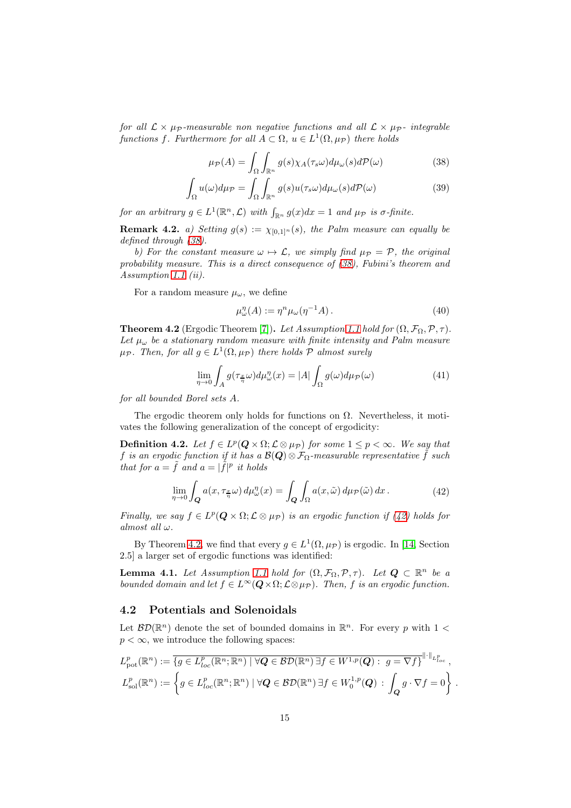for all  $\mathcal{L} \times \mu_{\mathcal{P}}$ -measurable non negative functions and all  $\mathcal{L} \times \mu_{\mathcal{P}}$ - integrable functions f. Furthermore for all  $A \subset \Omega$ ,  $u \in L^1(\Omega, \mu_{\mathcal{P}})$  there holds

<span id="page-14-0"></span>
$$
\mu_{\mathcal{P}}(A) = \int_{\Omega} \int_{\mathbb{R}^n} g(s) \chi_A(\tau_s \omega) d\mu_{\omega}(s) d\mathcal{P}(\omega)
$$
(38)

$$
\int_{\Omega} u(\omega)d\mu_{\mathcal{P}} = \int_{\Omega} \int_{\mathbb{R}^n} g(s)u(\tau_s \omega)d\mu_{\omega}(s)d\mathcal{P}(\omega)
$$
\n(39)

for an arbitrary  $g \in L^1(\mathbb{R}^n, \mathcal{L})$  with  $\int_{\mathbb{R}^n} g(x) dx = 1$  and  $\mu_{\mathcal{P}}$  is  $\sigma$ -finite.

**Remark 4.2.** a) Setting  $g(s) := \chi_{[0,1]^n}(s)$ , the Palm measure can equally be defined through [\(38\)](#page-14-0).

b) For the constant measure  $\omega \mapsto \mathcal{L}$ , we simply find  $\mu_{\mathcal{P}} = \mathcal{P}$ , the original probability measure. This is a direct consequence of [\(38\)](#page-14-0), Fubini's theorem and Assumption [1.1](#page-2-0) (ii).

For a random measure  $\mu_{\omega}$ , we define

<span id="page-14-3"></span>
$$
\mu_{\omega}^{\eta}(A) := \eta^{n} \mu_{\omega}(\eta^{-1}A). \tag{40}
$$

<span id="page-14-2"></span>**Theorem 4.2** (Ergodic Theorem [\[7\]](#page-24-9)). Let Assumption [1.1](#page-2-0) hold for  $(\Omega, \mathcal{F}_{\Omega}, \mathcal{P}, \tau)$ . Let  $\mu_{\omega}$  be a stationary random measure with finite intensity and Palm measure  $\mu_{\mathcal{P}}$ . Then, for all  $g \in L^1(\Omega, \mu_{\mathcal{P}})$  there holds  $\mathcal P$  almost surely

$$
\lim_{\eta \to 0} \int_{A} g(\tau_{\frac{x}{\eta}} \omega) d\mu_{\omega}^{\eta}(x) = |A| \int_{\Omega} g(\omega) d\mu_{\mathcal{P}}(\omega)
$$
\n(41)

for all bounded Borel sets A.

The ergodic theorem only holds for functions on  $\Omega$ . Nevertheless, it motivates the following generalization of the concept of ergodicity:

**Definition 4.2.** Let  $f \in L^p(Q \times \Omega; \mathcal{L} \otimes \mu_{\mathcal{P}})$  for some  $1 \leq p < \infty$ . We say that f is an ergodic function if it has a  $\mathcal{B}(\mathbf{Q}) \otimes \mathcal{F}_{\Omega}$ -measurable representative f such that for  $a = \tilde{f}$  and  $a = |\tilde{f}|^p$  it holds

<span id="page-14-1"></span>
$$
\lim_{\eta \to 0} \int_{\mathbf{Q}} a(x, \tau_{\frac{x}{\eta}} \omega) d\mu_{\omega}^{\eta}(x) = \int_{\mathbf{Q}} \int_{\Omega} a(x, \tilde{\omega}) d\mu_{\mathcal{P}}(\tilde{\omega}) dx.
$$
 (42)

Finally, we say  $f \in L^p(Q \times \Omega; \mathcal{L} \otimes \mu_{\mathcal{P}})$  is an ergodic function if  $(42)$  holds for almost all  $\omega$ .

By Theorem [4.2,](#page-14-2) we find that every  $g \in L^1(\Omega, \mu_{\mathcal{P}})$  is ergodic. In [\[14,](#page-24-6) Section 2.5] a larger set of ergodic functions was identified:

<span id="page-14-4"></span>**Lemma 4.1.** Let Assumption [1.1](#page-2-0) hold for  $(\Omega, \mathcal{F}_{\Omega}, \mathcal{P}, \tau)$ . Let  $Q \subset \mathbb{R}^n$  be a bounded domain and let  $f \in L^{\infty}(\mathbf{Q} \times \Omega; \mathcal{L} \otimes \mu_{\mathcal{P}})$ . Then, f is an ergodic function.

#### 4.2 Potentials and Solenoidals

Let  $\mathcal{BD}(\mathbb{R}^n)$  denote the set of bounded domains in  $\mathbb{R}^n$ . For every p with  $1 <$  $p < \infty$ , we introduce the following spaces:

$$
L_{\text{pot}}^p(\mathbb{R}^n) := \overline{\{g \in L_{loc}^p(\mathbb{R}^n; \mathbb{R}^n) \mid \forall \mathbf{Q} \in \mathcal{BD}(\mathbb{R}^n) \exists f \in W^{1,p}(\mathbf{Q}) : g = \nabla f\}}^{\|\cdot\|_{L_{loc}^p}},
$$
  

$$
L_{\text{sol}}^p(\mathbb{R}^n) := \left\{g \in L_{loc}^p(\mathbb{R}^n; \mathbb{R}^n) \mid \forall \mathbf{Q} \in \mathcal{BD}(\mathbb{R}^n) \exists f \in W_0^{1,p}(\mathbf{Q}) : \int_{\mathbf{Q}} g \cdot \nabla f = 0\right\}
$$

.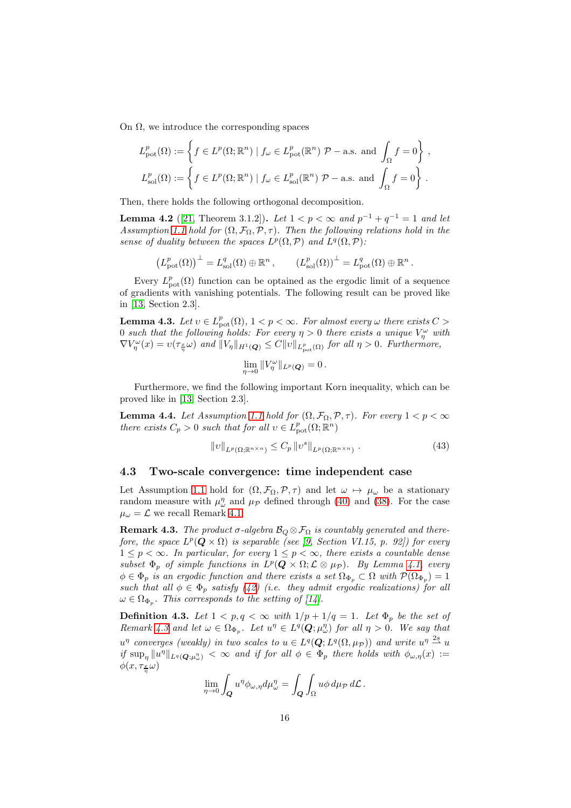On  $\Omega$ , we introduce the corresponding spaces

$$
L_{\text{pot}}^p(\Omega) := \left\{ f \in L^p(\Omega; \mathbb{R}^n) \mid f_\omega \in L_{\text{pot}}^p(\mathbb{R}^n) \; \mathcal{P}-\text{a.s.} \text{ and } \int_{\Omega} f = 0 \right\},
$$
  

$$
L_{\text{sol}}^p(\Omega) := \left\{ f \in L^p(\Omega; \mathbb{R}^n) \mid f_\omega \in L_{\text{sol}}^p(\mathbb{R}^n) \; \mathcal{P}-\text{a.s.} \text{ and } \int_{\Omega} f = 0 \right\}.
$$

Then, there holds the following orthogonal decomposition.

**Lemma 4.2** ([\[21,](#page-24-14) Theorem 3.1.2]). Let  $1 < p < \infty$  and  $p^{-1} + q^{-1} = 1$  and let Assumption [1.1](#page-2-0) hold for  $(\Omega, \mathcal{F}_{\Omega}, \mathcal{P}, \tau)$ . Then the following relations hold in the sense of duality between the spaces  $L^p(\Omega, \mathcal{P})$  and  $L^q(\Omega, \mathcal{P})$ :

 $\left(L_{\text{pot}}^p(\Omega)\right)^{\perp} = L_{\text{sol}}^q(\Omega) \oplus \mathbb{R}^n$ ,  $\left(L_{\text{sol}}^p(\Omega)\right)^{\perp} = L_{\text{pot}}^q(\Omega) \oplus \mathbb{R}^n$ .

Every  $L_{pot}^p(\Omega)$  function can be optained as the ergodic limit of a sequence of gradients with vanishing potentials. The following result can be proved like in [\[13,](#page-24-5) Section 2.3].

<span id="page-15-1"></span>**Lemma 4.3.** Let  $v \in L^p_{\text{pot}}(\Omega)$ ,  $1 < p < \infty$ . For almost every  $\omega$  there exists  $C >$ 0 such that the following holds: For every  $\eta > 0$  there exists a unique  $V_{\eta}^{\omega}$  with  $\nabla V_\eta^\omega(x) = v(\tau_{\frac{x}{\eta}}\omega)$  and  $||V_\eta||_{H^1(Q)} \leq C||v||_{L^p_{pot}(\Omega)}$  for all  $\eta > 0$ . Furthermore,

$$
\lim_{\eta\to 0}||V_{\eta}^{\omega}||_{L^{p}(\mathbf{Q})}=0.
$$

Furthermore, we find the following important Korn inequality, which can be proved like in [\[13,](#page-24-5) Section 2.3].

**Lemma 4.4.** Let Assumption [1.1](#page-2-0) hold for  $(\Omega, \mathcal{F}_{\Omega}, \mathcal{P}, \tau)$ . For every  $1 < p < \infty$ there exists  $C_p > 0$  such that for all  $v \in L^p_{\text{pot}}(\Omega; \mathbb{R}^n)$ 

$$
||v||_{L^{p}(\Omega;\mathbb{R}^{n\times n})} \leq C_p ||v^s||_{L^{p}(\Omega;\mathbb{R}^{n\times n})}.
$$
\n(43)

#### 4.3 Two-scale convergence: time independent case

Let Assumption [1.1](#page-2-0) hold for  $(\Omega, \mathcal{F}_{\Omega}, \mathcal{P}, \tau)$  and let  $\omega \mapsto \mu_{\omega}$  be a stationary random measure with  $\mu^{\eta}_{\omega}$  and  $\mu_{\mathcal{P}}$  defined through [\(40\)](#page-14-3) and [\(38\)](#page-14-0). For the case  $\mu_{\omega} = \mathcal{L}$  we recall Remark [4.1.](#page-13-1)

<span id="page-15-0"></span>**Remark 4.3.** The product  $\sigma$ -algebra  $\mathcal{B}_{Q} \otimes \mathcal{F}_{\Omega}$  is countably generated and therefore, the space  $L^p(Q \times \Omega)$  is separable (see [\[9,](#page-24-8) Section VI.15, p. 92]) for every  $1 \leq p < \infty$ . In particular, for every  $1 \leq p < \infty$ , there exists a countable dense subset  $\Phi_p$  of simple functions in  $L^p(Q \times \Omega; \mathcal{L} \otimes \mu_{\mathcal{P}})$ . By Lemma [4.1,](#page-14-4) every  $\phi \in \Phi_p$  is an ergodic function and there exists a set  $\Omega_{\Phi_p} \subset \Omega$  with  $\mathcal{P}(\Omega_{\Phi_p}) = 1$ such that all  $\phi \in \Phi_p$  satisfy [\(42\)](#page-14-1) (i.e. they admit ergodic realizations) for all  $\omega \in \Omega_{\Phi_p}$ . This corresponds to the setting of [\[14\]](#page-24-6).

**Definition 4.3.** Let  $1 < p, q < \infty$  with  $1/p + 1/q = 1$ . Let  $\Phi_p$  be the set of Remark [4.3](#page-15-0) and let  $\omega \in \Omega_{\Phi_p}$ . Let  $u^{\eta} \in L^q(Q; \mu^n_{\omega})$  for all  $\eta > 0$ . We say that  $u^{\eta}$  converges (weakly) in two scales to  $u \in L^{q}(\mathbf{Q}; L^{q}(\Omega, \mu_{\mathcal{P}}))$  and write  $u^{\eta} \stackrel{2s}{\rightharpoonup} u$ if  $\sup_{\eta} ||u^{\eta}||_{L^{q}(Q;\mu_{\omega}^{\eta})}$   $< \infty$  and if for all  $\phi \in \Phi_p$  there holds with  $\phi_{\omega,\eta}(x) :=$  $\phi(x,\tau_{\frac{x}{\eta}}\omega)$ 

$$
\lim_{\eta \to 0} \int_{\mathbf{Q}} u^{\eta} \phi_{\omega,\eta} d\mu_{\omega}^{\eta} = \int_{\mathbf{Q}} \int_{\Omega} u \phi \, d\mu_{\mathcal{P}} d\mathcal{L}.
$$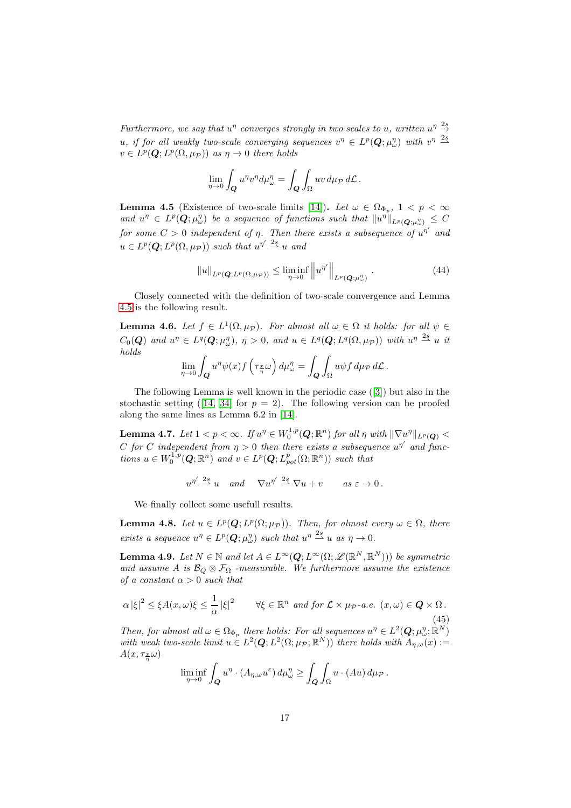Furthermore, we say that  $u^{\eta}$  converges strongly in two scales to u, written  $u^{\eta} \stackrel{2s}{\rightarrow}$ u, if for all weakly two-scale converging sequences  $v^{\eta} \in L^p(Q; \mu_{\omega}^{\eta})$  with  $v^{\eta} \stackrel{2s}{\longrightarrow}$  $v \in L^p(\mathbf{Q}; L^p(\Omega, \mu_{\mathcal{P}}))$  as  $\eta \to 0$  there holds

$$
\lim_{\eta \to 0} \int_{\mathbf{Q}} u^{\eta} v^{\eta} d\mu_{\omega}^{\eta} = \int_{\mathbf{Q}} \int_{\Omega} uv \, d\mu_{\mathcal{P}} \, d\mathcal{L}.
$$

<span id="page-16-0"></span>**Lemma 4.5** (Existence of two-scale limits [\[14\]](#page-24-6)). Let  $\omega \in \Omega_{\Phi_p}$ ,  $1 < p < \infty$ and  $u^{\eta} \in L^p(Q; \mu_\omega^n)$  be a sequence of functions such that  $||u^{\eta}||_{L^p(Q; \mu_\omega^n)} \leq C$ for some  $C > 0$  independent of  $\eta$ . Then there exists a subsequence of  $u^{\eta'}$  and  $u \in L^p(\mathbf{Q}; L^p(\Omega, \mu_{\mathcal{P}}))$  such that  $u^{\eta'} \stackrel{2s}{\rightharpoonup} u$  and

$$
||u||_{L^p(\mathbf{Q};L^p(\Omega,\mu_{\mathcal{P}}))} \leq \liminf_{\eta \to 0} ||u^{\eta'}||_{L^p(\mathbf{Q};\mu_{\omega}^{\eta})}.
$$
\n(44)

Closely connected with the definition of two-scale convergence and Lemma [4.5](#page-16-0) is the following result.

**Lemma 4.6.** Let  $f \in L^1(\Omega, \mu_{\mathcal{P}})$ . For almost all  $\omega \in \Omega$  it holds: for all  $\psi \in$  $C_0(Q)$  and  $u^{\eta} \in L^q(Q; \mu_{\omega}^{\eta}), \eta > 0$ , and  $u \in L^q(Q; L^q(\Omega, \mu_{\mathcal{P}}))$  with  $u^{\eta} \stackrel{2s}{\longrightarrow} u$  it holds

$$
\lim_{\eta \to 0} \int_{\mathbf{Q}} u^{\eta} \psi(x) f\left(\tau_{\frac{x}{\eta}} \omega\right) d\mu_{\omega}^{\eta} = \int_{\mathbf{Q}} \int_{\Omega} u \psi f d\mu_{\mathcal{P}} d\mathcal{L}.
$$

The following Lemma is well known in the periodic case([\[3\]](#page-24-20)) but also in the stochasticsetting ([\[14,](#page-24-6) [34\]](#page-25-4) for  $p = 2$ ). The following version can be proofed along the same lines as Lemma 6.2 in [\[14\]](#page-24-6).

<span id="page-16-1"></span>Lemma 4.7. Let  $1 < p < \infty$ . If  $u^{\eta} \in W_0^{1,p}(\mathbf{Q};\mathbb{R}^n)$  for all  $\eta$  with  $\|\nabla u^{\eta}\|_{L^p(\mathbf{Q})} <$ C for C independent from  $\eta > 0$  then there exists a subsequence  $u^{\eta'}$  and functions  $u \in W_0^{1,p}(\mathbf{Q};\mathbb{R}^n)$  and  $v \in L^p(\mathbf{Q}; L^p_{pot}(\Omega;\mathbb{R}^n))$  such that

$$
u^{\eta'} \stackrel{2s}{\rightharpoonup} u
$$
 and  $\nabla u^{\eta'} \stackrel{2s}{\rightharpoonup} \nabla u + v$  as  $\varepsilon \to 0$ .

We finally collect some usefull results.

**Lemma 4.8.** Let  $u \in L^p(Q; L^p(\Omega; \mu_{\mathcal{P}}))$ . Then, for almost every  $\omega \in \Omega$ , there exists a sequence  $u^{\eta} \in L^p(\mathbf{Q}; \mu_{\omega}^{\eta})$  such that  $u^{\eta} \stackrel{2s}{\longrightarrow} u$  as  $\eta \to 0$ .

<span id="page-16-2"></span>**Lemma 4.9.** Let  $N \in \mathbb{N}$  and let  $A \in L^{\infty}(\mathbf{Q}; L^{\infty}(\Omega; \mathcal{L}(\mathbb{R}^N, \mathbb{R}^N)))$  be symmetric and assume A is  $\mathcal{B}_Q \otimes \mathcal{F}_{\Omega}$  -measurable. We furthermore assume the existence of a constant  $\alpha > 0$  such that

$$
\alpha |\xi|^2 \le \xi A(x,\omega)\xi \le \frac{1}{\alpha} |\xi|^2 \qquad \forall \xi \in \mathbb{R}^n \text{ and for } \mathcal{L} \times \mu_{\mathcal{P}}\text{-a.e. } (x,\omega) \in \mathbf{Q} \times \Omega. \tag{45}
$$

Then, for almost all  $\omega \in \Omega_{\Phi_p}$  there holds: For all sequences  $u^{\eta} \in L^2(Q; \mu^n_{\omega}; \mathbb{R}^N)$ with weak two-scale limit  $u \in L^2(Q; L^2(\Omega; \mu_{\mathcal{P}}; \mathbb{R}^N))$  there holds with  $A_{\eta,\omega}(x) :=$  $A(x,\tau_{\frac{x}{\eta}}\omega)$ 

$$
\liminf_{\eta \to 0} \int_{\mathbf{Q}} u^{\eta} \cdot (A_{\eta,\omega} u^{\varepsilon}) d\mu_{\omega}^{\eta} \ge \int_{\mathbf{Q}} \int_{\Omega} u \cdot (Au) d\mu_{\mathcal{P}}.
$$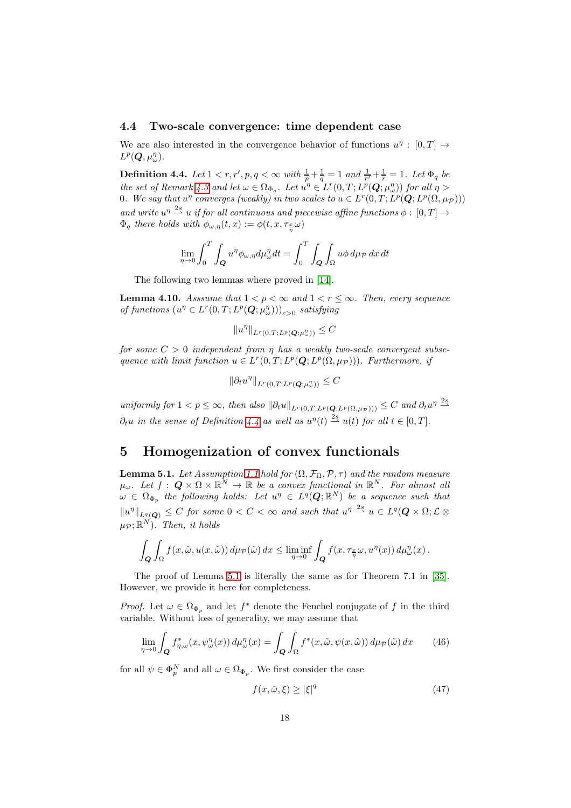#### 4.4 Two-scale convergence: time dependent case

We are also interested in the convergence behavior of functions  $u^{\eta} : [0, T] \rightarrow$  $L^p(\boldsymbol{Q},\mu_{\omega}^{\eta}).$ 

<span id="page-17-1"></span>**Definition 4.4.** Let  $1 < r, r', p, q < \infty$  with  $\frac{1}{p} + \frac{1}{q} = 1$  and  $\frac{1}{r'} + \frac{1}{r} = 1$ . Let  $\Phi_q$  be the set of Remark [4.3](#page-15-0) and let  $\omega \in \Omega_{\Phi_q}$ . Let  $u^{\eta} \in L^r(0,T; L^p(Q; \mu_{\omega}^{\eta}))$  for all  $\eta >$ 0. We say that  $u^{\eta}$  converges (weakly) in two scales to  $u \in L^r(0,T; L^p(\mathbf{Q}; L^p(\Omega, \mu_{\mathcal{P}})))$ and write  $u^{\eta} \stackrel{2s}{\longrightarrow} u$  if for all continuous and piecewise affine functions  $\phi : [0, T] \rightarrow$  $\Phi_q$  there holds with  $\phi_{\omega,\eta}(t,x) := \phi(t,x,\tau_{\frac{x}{\eta}}\omega)$ 

$$
\lim_{\eta \to 0} \int_0^T \int_{\mathbf{Q}} u^{\eta} \phi_{\omega, \eta} d\mu_{\omega}^{\eta} dt = \int_0^T \int_{\mathbf{Q}} \int_{\Omega} u \phi \, d\mu_{\mathcal{P}} dx dt
$$

The following two lemmas where proved in [\[14\]](#page-24-6).

<span id="page-17-5"></span>**Lemma 4.10.** Asssume that  $1 < p < \infty$  and  $1 < r \leq \infty$ . Then, every sequence of functions  $(u^n \in L^r(0,T; L^p(Q; \mu_\omega^n)))_{\varepsilon > 0}$  satisfying

$$
||u^\eta||_{L^r(0,T;L^p(\boldsymbol{Q};\mu_\omega^\eta))}\leq C
$$

for some  $C > 0$  independent from  $\eta$  has a weakly two-scale convergent subsequence with limit function  $u \in L^r(0,T; L^p(\mathbf{Q}; L^p(\Omega, \mu_{\mathcal{P}})))$ . Furthermore, if

$$
\|\partial_t u^\eta\|_{L^r(0,T;L^p(\mathbf{Q};\mu_\omega^\eta))}\leq C
$$

uniformly for  $1 < p \leq \infty$ , then also  $\|\partial_t u\|_{L^r(0,T;L^p(\mathbf{Q};L^p(\Omega,\mu_{\mathcal{P}})))} \leq C$  and  $\partial_t u^{\eta} \stackrel{2s}{\rightharpoonup}$  $\partial_t u$  in the sense of Definition [4.4](#page-17-1) as well as  $u^{\eta}(t) \stackrel{2s}{\rightharpoonup} u(t)$  for all  $t \in [0, T]$ .

# <span id="page-17-0"></span>5 Homogenization of convex functionals

<span id="page-17-2"></span>**Lemma 5.1.** Let Assumption [1.1](#page-2-0) hold for  $(\Omega, \mathcal{F}_{\Omega}, \mathcal{P}, \tau)$  and the random measure  $\mu_\omega$ . Let  $f: \mathbf{Q} \times \Omega \times \mathbb{R}^N \to \mathbb{R}$  be a convex functional in  $\mathbb{R}^N$ . For almost all  $\omega \in \Omega_{\Phi_p}$  the following holds: Let  $u^{\eta} \in L^q(\mathbf{Q};\mathbb{R}^N)$  be a sequence such that  $||u^{\eta}||_{L^{q}(Q)} \leq C$  for some  $0 < C < \infty$  and such that  $u^{\eta} \stackrel{2s}{\rightarrow} u \in L^{q}(Q \times \Omega; \mathcal{L} \otimes$  $\mu_{\mathcal{P}}; \mathbb{R}^N$ ). Then, it holds

$$
\int_{Q} \int_{\Omega} f(x, \tilde{\omega}, u(x, \tilde{\omega})) d\mu_{\mathcal{P}}(\tilde{\omega}) dx \le \liminf_{\eta \to 0} \int_{Q} f(x, \tau_{\frac{x}{\eta}} \omega, u^{\eta}(x)) d\mu_{\omega}^{\eta}(x).
$$

The proof of Lemma [5.1](#page-17-2) is literally the same as for Theorem 7.1 in [\[35\]](#page-25-12). However, we provide it here for completeness.

*Proof.* Let  $\omega \in \Omega_{\Phi_p}$  and let  $f^*$  denote the Fenchel conjugate of f in the third variable. Without loss of generality, we may assume that

<span id="page-17-3"></span>
$$
\lim_{\eta \to 0} \int_{\mathbf{Q}} f_{\eta,\omega}^*(x, \psi_{\omega}^{\eta}(x)) d\mu_{\omega}^{\eta}(x) = \int_{\mathbf{Q}} \int_{\Omega} f^*(x, \tilde{\omega}, \psi(x, \tilde{\omega})) d\mu_{\mathcal{P}}(\tilde{\omega}) dx \qquad (46)
$$

for all  $\psi \in \Phi_p^N$  and all  $\omega \in \Omega_{\Phi_p}$ . We first consider the case

<span id="page-17-4"></span>
$$
f(x, \tilde{\omega}, \xi) \ge |\xi|^q \tag{47}
$$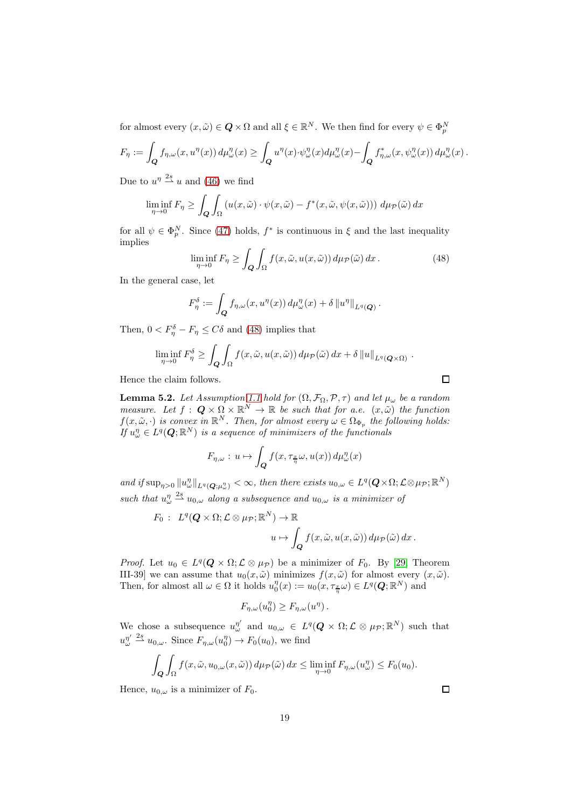for almost every  $(x, \tilde{\omega}) \in \mathbf{Q} \times \Omega$  and all  $\xi \in \mathbb{R}^N$ . We then find for every  $\psi \in \Phi_p^N$ 

$$
F_{\eta} := \int_{\mathbf{Q}} f_{\eta,\omega}(x, u^{\eta}(x)) d\mu_{\omega}^{\eta}(x) \ge \int_{\mathbf{Q}} u^{\eta}(x) \cdot \psi_{\omega}^{\eta}(x) d\mu_{\omega}^{\eta}(x) - \int_{\mathbf{Q}} f_{\eta,\omega}^{*}(x, \psi_{\omega}^{\eta}(x)) d\mu_{\omega}^{\eta}(x).
$$

Due to  $u^{\eta} \stackrel{2s}{\longrightarrow} u$  and [\(46\)](#page-17-3) we find

$$
\liminf_{\eta \to 0} F_{\eta} \ge \int_{Q} \int_{\Omega} \left( u(x, \tilde{\omega}) \cdot \psi(x, \tilde{\omega}) - f^{*}(x, \tilde{\omega}, \psi(x, \tilde{\omega})) \right) d\mu_{\mathcal{P}}(\tilde{\omega}) dx
$$

for all  $\psi \in \Phi_p^N$ . Since [\(47\)](#page-17-4) holds,  $f^*$  is continuous in  $\xi$  and the last inequality implies

<span id="page-18-0"></span>
$$
\liminf_{\eta \to 0} F_{\eta} \ge \int_{\mathbf{Q}} \int_{\Omega} f(x, \tilde{\omega}, u(x, \tilde{\omega})) \, d\mu_{\mathcal{P}}(\tilde{\omega}) \, dx \,. \tag{48}
$$

In the general case, let

$$
F_{\eta}^{\delta} := \int_{\mathbf{Q}} f_{\eta,\omega}(x, u^{\eta}(x)) d\mu_{\omega}^{\eta}(x) + \delta ||u^{\eta}||_{L^{q}(\mathbf{Q})}.
$$

Then,  $0 < F_{\eta}^{\delta} - F_{\eta} \leq C\delta$  and [\(48\)](#page-18-0) implies that

$$
\liminf_{\eta \to 0} F_{\eta}^{\delta} \ge \int_{\mathbf{Q}} \int_{\Omega} f(x, \tilde{\omega}, u(x, \tilde{\omega})) d\mu_{\mathcal{P}}(\tilde{\omega}) dx + \delta ||u||_{L^{q}(\mathbf{Q} \times \Omega)}.
$$

Hence the claim follows.

**Lemma 5.2.** Let Assumption [1.1](#page-2-0) hold for  $(\Omega, \mathcal{F}_{\Omega}, \mathcal{P}, \tau)$  and let  $\mu_{\omega}$  be a random measure. Let  $f: \mathbf{Q} \times \Omega \times \mathbb{R}^N \to \mathbb{R}$  be such that for a.e.  $(x, \tilde{\omega})$  the function  $f(x, \tilde{\omega}, \cdot)$  is convex in  $\mathbb{R}^N$ . Then, for almost every  $\omega \in \Omega_{\Phi_p}$  the following holds: If  $u_{\omega}^{\eta} \in L^{q}(\boldsymbol{Q};\mathbb{R}^{N})$  is a sequence of minimizers of the functionals

$$
F_{\eta,\omega}: u \mapsto \int_{\mathbf{Q}} f(x, \tau_{\frac{x}{\eta}} \omega, u(x)) d\mu_{\omega}^{\eta}(x)
$$

and if  $\sup_{\eta>0} ||u_{\omega}^{\eta}||_{L^{q}(Q;\mu_{\omega}^{\eta})} < \infty$ , then there exists  $u_{0,\omega} \in L^{q}(Q \times \Omega; \mathcal{L} \otimes \mu_{\mathcal{P}}; \mathbb{R}^{N})$ such that  $u_{\omega}^{\eta} \stackrel{2s}{\longrightarrow} u_{0,\omega}$  along a subsequence and  $u_{0,\omega}$  is a minimizer of

$$
F_0: L^q(Q \times \Omega; \mathcal{L} \otimes \mu_{\mathcal{P}}; \mathbb{R}^N) \to \mathbb{R}
$$
  

$$
u \mapsto \int_Q f(x, \tilde{\omega}, u(x, \tilde{\omega})) d\mu_{\mathcal{P}}(\tilde{\omega}) dx.
$$

*Proof.* Let  $u_0 \in L^q(Q \times \Omega; \mathcal{L} \otimes \mu_{\mathcal{P}})$  be a minimizer of  $F_0$ . By [\[29,](#page-25-13) Theorem III-39] we can assume that  $u_0(x, \tilde{\omega})$  minimizes  $f(x, \tilde{\omega})$  for almost every  $(x, \tilde{\omega})$ . Then, for almost all  $\omega \in \Omega$  it holds  $u_0^{\eta}(x) := u_0(x, \tau_{\frac{x}{\eta}} \omega) \in L^q(Q; \mathbb{R}^N)$  and

$$
F_{\eta,\omega}(u_0^{\eta}) \ge F_{\eta,\omega}(u^{\eta}).
$$

We chose a subsequence  $u^{\eta'}_{\omega}$  $\mu_{\omega}^{\eta'}$  and  $u_{0,\omega} \in L^q(\boldsymbol{Q} \times \Omega; \mathcal{L} \otimes \mu_{\mathcal{P}}; \mathbb{R}^N)$  such that  $u''_{\omega}$  $w''$   $\stackrel{2s}{\sim} u_{0,\omega}$ . Since  $F_{\eta,\omega}(u_0^{\eta}) \to F_0(u_0)$ , we find

$$
\int_{\mathbf{Q}} \int_{\Omega} f(x, \tilde{\omega}, u_{0,\omega}(x, \tilde{\omega})) d\mu_{\mathcal{P}}(\tilde{\omega}) dx \le \liminf_{\eta \to 0} F_{\eta,\omega}(u_{\omega}^{\eta}) \le F_0(u_0).
$$

Hence,  $u_{0,\omega}$  is a minimizer of  $F_0$ .

 $\Box$ 

 $\Box$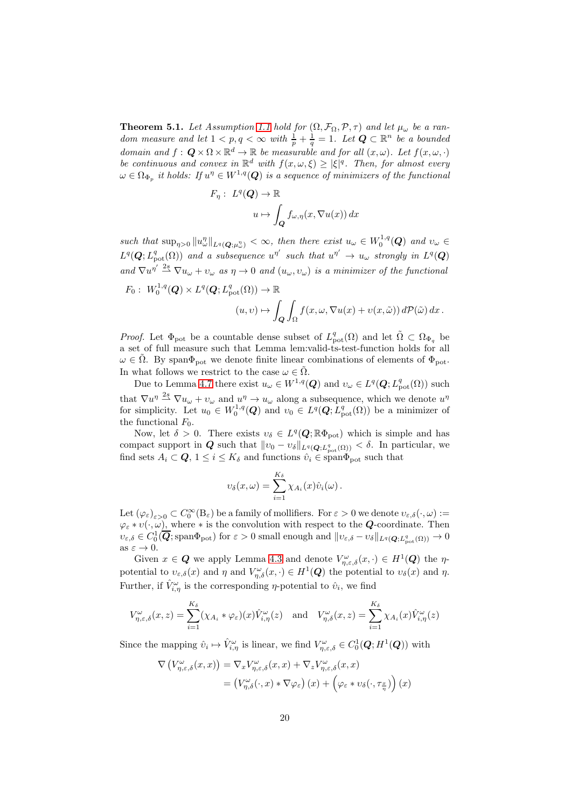**Theorem 5.1.** Let Assumption [1.1](#page-2-0) hold for  $(\Omega, \mathcal{F}_{\Omega}, \mathcal{P}, \tau)$  and let  $\mu_{\omega}$  be a random measure and let  $1 < p, q < \infty$  with  $\frac{1}{p} + \frac{1}{q} = 1$ . Let  $Q \subset \mathbb{R}^n$  be a bounded domain and  $f: \mathbf{Q} \times \Omega \times \mathbb{R}^d \to \mathbb{R}$  be measurable and for all  $(x, \omega)$ . Let  $f(x, \omega, \cdot)$ be continuous and convex in  $\mathbb{R}^d$  with  $f(x, \omega, \xi) \geq |\xi|^q$ . Then, for almost every  $\omega \in \Omega_{\Phi_p}$  it holds: If  $u^\eta \in W^{1,q}(\boldsymbol{Q})$  is a sequence of minimizers of the functional

$$
F_{\eta}: L^{q}(\mathbf{Q}) \to \mathbb{R}
$$

$$
u \mapsto \int_{\mathbf{Q}} f_{\omega,\eta}(x, \nabla u(x)) dx
$$

such that  $\sup_{\eta>0} \|u^n_{\omega}\|_{L^q(Q;\mu^n_{\omega})} < \infty$ , then there exist  $u_{\omega} \in W_0^{1,q}(Q)$  and  $v_{\omega} \in$  $L^q(Q; L^q_{pot}(\Omega))$  and a subsequence  $u^{\eta'}$  such that  $u^{\eta'} \to u_\omega$  strongly in  $L^q(Q)$ and  $\nabla u^{\eta'} \stackrel{2s}{\rightharpoonup} \nabla u_\omega + v_\omega$  as  $\eta \to 0$  and  $(u_\omega, v_\omega)$  is a minimizer of the functional

$$
F_0: W_0^{1,q}(\mathbf{Q}) \times L^q(\mathbf{Q}; L^q_{\text{pot}}(\Omega)) \to \mathbb{R}
$$
  

$$
(u, v) \mapsto \int_{\mathbf{Q}} \int_{\Omega} f(x, \omega, \nabla u(x) + v(x, \tilde{\omega})) d\mathcal{P}(\tilde{\omega}) dx.
$$

*Proof.* Let  $\Phi_{\text{pot}}$  be a countable dense subset of  $L^q_{\text{pot}}(\Omega)$  and let  $\tilde{\Omega} \subset \Omega_{\Phi_q}$  be a set of full measure such that Lemma lem:valid-ts-test-function holds for all  $\omega \in \tilde{\Omega}$ . By span $\Phi_{\text{pot}}$  we denote finite linear combinations of elements of  $\Phi_{\text{pot}}$ . In what follows we restrict to the case  $\omega \in \tilde{\Omega}$ .

Due to Lemma [4.7](#page-16-1) there exist  $u_{\omega} \in W^{1,q}(Q)$  and  $v_{\omega} \in L^q(Q; L^q_{\text{pot}}(\Omega))$  such that  $\nabla u^{\eta} \stackrel{2s}{\longrightarrow} \nabla u_{\omega} + v_{\omega}$  and  $u^{\eta} \to u_{\omega}$  along a subsequence, which we denote  $u^{\eta}$ for simplicity. Let  $u_0 \in W_0^{1,q}(Q)$  and  $v_0 \in L^q(Q; L^q_{pot}(\Omega))$  be a minimizer of the functional  $F_0$ .

Now, let  $\delta > 0$ . There exists  $v_{\delta} \in L^q(Q; \mathbb{R}\Phi_{\text{pot}})$  which is simple and has compact support in  $Q$  such that  $||v_0 - v_\delta||_{L^q(Q;L^q_{pot}(\Omega))} < \delta$ . In particular, we find sets  $A_i \subset \mathbf{Q}, 1 \leq i \leq K_{\delta}$  and functions  $\hat{v}_i \in \text{span}\Phi_{\text{pot}}$  such that

$$
v_{\delta}(x,\omega)=\sum_{i=1}^{K_{\delta}}\chi_{A_i}(x)\hat{v}_i(\omega).
$$

Let  $(\varphi_{\varepsilon})_{\varepsilon>0}\subset C_0^{\infty}(B_{\varepsilon})$  be a family of mollifiers. For  $\varepsilon>0$  we denote  $v_{\varepsilon,\delta}(\cdot,\omega):=$  $\varphi_{\varepsilon} * v(\cdot, \omega)$ , where  $*$  is the convolution with respect to the **Q**-coordinate. Then  $v_{\varepsilon,\delta} \in C_0^1(\overline{\mathbf{Q}}; \text{span}\Phi_{\text{pot}})$  for  $\varepsilon > 0$  small enough and  $||v_{\varepsilon,\delta} - v_{\delta}||_{L^q(\mathbf{Q};L^q_{\text{pot}}(\Omega))} \to 0$ as  $\varepsilon \to 0$ .

Given  $x \in \mathbf{Q}$  we apply Lemma [4.3](#page-15-1) and denote  $V_{\eta,\varepsilon,\delta}^{\omega}(x,\cdot) \in H^1(\mathbf{Q})$  the  $\eta$ potential to  $v_{\varepsilon,\delta}(x)$  and  $\eta$  and  $V_{\eta,\delta}^{\omega}(x,\cdot) \in H^1(\mathbf{Q})$  the potential to  $v_{\delta}(x)$  and  $\eta$ . Further, if  $\hat{V}_{i,\eta}^{\omega}$  is the corresponding  $\eta$ -potential to  $\hat{v}_i$ , we find

$$
V_{\eta,\varepsilon,\delta}^{\omega}(x,z) = \sum_{i=1}^{K_{\delta}} (\chi_{A_{i}} * \varphi_{\varepsilon})(x) \hat{V}_{i,\eta}^{\omega}(z) \text{ and } V_{\eta,\delta}^{\omega}(x,z) = \sum_{i=1}^{K_{\delta}} \chi_{A_{i}}(x) \hat{V}_{i,\eta}^{\omega}(z)
$$

Since the mapping  $\hat{v}_i \mapsto \hat{V}_{i,\eta}^{\omega}$  is linear, we find  $V_{\eta,\varepsilon,\delta}^{\omega} \in C_0^1(\mathbf{Q}; H^1(\mathbf{Q}))$  with

$$
\nabla \left( V_{\eta,\varepsilon,\delta}^{\omega}(x,x) \right) = \nabla_x V_{\eta,\varepsilon,\delta}^{\omega}(x,x) + \nabla_z V_{\eta,\varepsilon,\delta}^{\omega}(x,x) \n= \left( V_{\eta,\delta}^{\omega}(\cdot,x) * \nabla \varphi_{\varepsilon} \right)(x) + \left( \varphi_{\varepsilon} * v_{\delta}(\cdot,\tau_{\frac{x}{\eta}}) \right)(x)
$$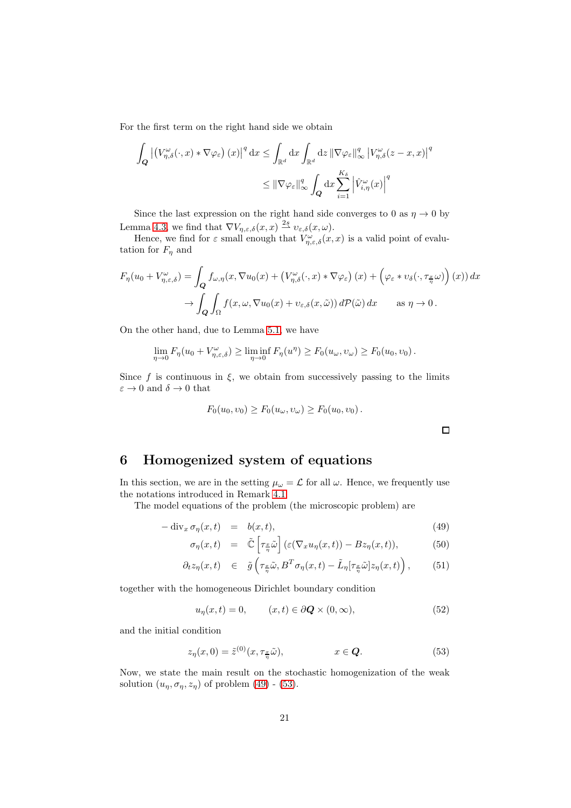For the first term on the right hand side we obtain

$$
\int_{\mathbf{Q}} \left| \left( V_{\eta,\delta}^{\omega}(\cdot,x) * \nabla \varphi_{\varepsilon} \right)(x) \right|^{q} dx \leq \int_{\mathbb{R}^{d}} dx \int_{\mathbb{R}^{d}} dz \, \|\nabla \varphi_{\varepsilon}\|_{\infty}^{q} \, |V_{\eta,\delta}^{\omega}(z-x,x)|^{q} \leq \|\nabla \varphi_{\varepsilon}\|_{\infty}^{q} \int_{\mathbf{Q}} dx \sum_{i=1}^{K_{\delta}} \left| \hat{V}_{i,\eta}^{\omega}(x) \right|^{q}
$$

Since the last expression on the right hand side converges to 0 as  $\eta \to 0$  by Lemma [4.3,](#page-15-1) we find that  $\nabla V_{\eta,\varepsilon,\delta}(x,x) \stackrel{2s}{\rightharpoonup} v_{\varepsilon,\delta}(x,\omega)$ .

Hence, we find for  $\varepsilon$  small enough that  $V^{\omega}_{\eta,\varepsilon,\delta}(x,x)$  is a valid point of evalutation for  $F_\eta$  and

$$
F_{\eta}(u_0 + V_{\eta,\varepsilon,\delta}^{\omega}) = \int_{\mathbf{Q}} f_{\omega,\eta}(x,\nabla u_0(x) + (V_{\eta,\delta}^{\omega}(\cdot,x) * \nabla \varphi_{\varepsilon}) (x) + (\varphi_{\varepsilon} * v_{\delta}(\cdot,\tau_{\frac{x}{\eta}}\omega)) (x)) dx
$$

$$
\to \int_{\mathbf{Q}} \int_{\Omega} f(x,\omega,\nabla u_0(x) + v_{\varepsilon,\delta}(x,\tilde{\omega})) d\mathcal{P}(\tilde{\omega}) dx \quad \text{as } \eta \to 0.
$$

On the other hand, due to Lemma [5.1,](#page-17-2) we have

$$
\lim_{\eta \to 0} F_{\eta}(u_0 + V_{\eta,\varepsilon,\delta}^{\omega}) \ge \liminf_{\eta \to 0} F_{\eta}(u^{\eta}) \ge F_0(u_{\omega},v_{\omega}) \ge F_0(u_0,v_0).
$$

Since f is continuous in  $\xi$ , we obtain from successively passing to the limits  $\varepsilon \to 0$  and  $\delta \to 0$  that

$$
F_0(u_0, v_0) \ge F_0(u_\omega, v_\omega) \ge F_0(u_0, v_0).
$$

# <span id="page-20-0"></span>6 Homogenized system of equations

In this section, we are in the setting  $\mu_{\omega} = \mathcal{L}$  for all  $\omega$ . Hence, we frequently use the notations introduced in Remark [4.1.](#page-13-1)

The model equations of the problem (the microscopic problem) are

<span id="page-20-1"></span>
$$
-\operatorname{div}_x \sigma_\eta(x,t) = b(x,t), \tag{49}
$$

$$
\sigma_{\eta}(x,t) = \tilde{\mathbb{C}}\left[\tau_{\frac{x}{\eta}}\tilde{\omega}\right] \left(\varepsilon(\nabla_x u_{\eta}(x,t)) - Bz_{\eta}(x,t)\right),\tag{50}
$$

$$
\partial_t z_\eta(x,t) \in \tilde{g}\left(\tau_{\frac{x}{\eta}}\tilde{\omega}, B^T\sigma_\eta(x,t) - \tilde{L}_\eta[\tau_{\frac{x}{\eta}}\tilde{\omega}]z_\eta(x,t)\right), \tag{51}
$$

together with the homogeneous Dirichlet boundary condition

$$
u_{\eta}(x,t) = 0, \qquad (x,t) \in \partial \mathbf{Q} \times (0,\infty), \tag{52}
$$

and the initial condition

<span id="page-20-2"></span>
$$
z_{\eta}(x,0) = \tilde{z}^{(0)}(x,\tau_{\frac{x}{\eta}}\tilde{\omega}), \qquad x \in \mathbf{Q}.\tag{53}
$$

Now, we state the main result on the stochastic homogenization of the weak solution  $(u_{\eta}, \sigma_{\eta}, z_{\eta})$  of problem [\(49\)](#page-20-1) - [\(53\)](#page-20-2).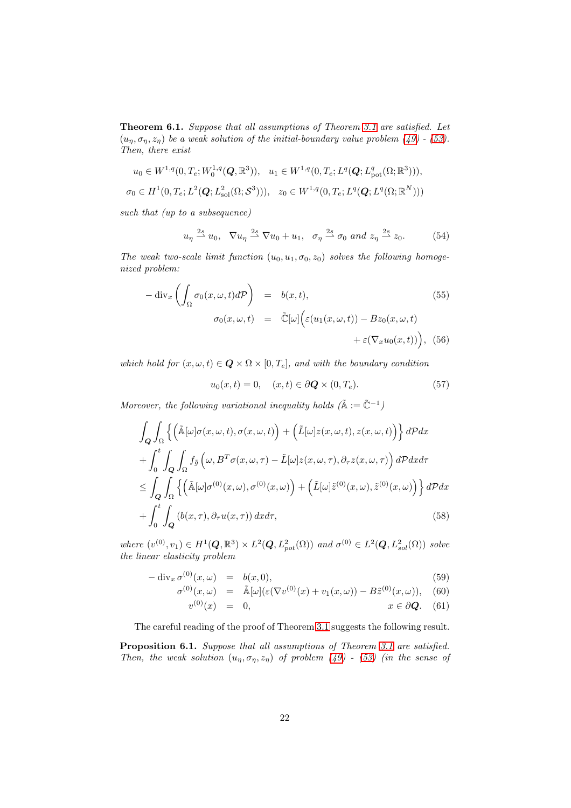<span id="page-21-1"></span>Theorem 6.1. Suppose that all assumptions of Theorem [3.1](#page-10-0) are satisfied. Let  $(u_n, \sigma_n, z_n)$  be a weak solution of the initial-boundary value problem [\(49\)](#page-20-1) - [\(53\)](#page-20-2). Then, there exist

$$
u_0 \in W^{1,q}(0, T_e; W_0^{1,q}(\mathbf{Q}, \mathbb{R}^3)), \quad u_1 \in W^{1,q}(0, T_e; L^q(\mathbf{Q}; L^q_{pot}(\Omega; \mathbb{R}^3))),
$$
  

$$
\sigma_0 \in H^1(0, T_e; L^2(\mathbf{Q}; L^2_{sol}(\Omega; \mathcal{S}^3))), \quad z_0 \in W^{1,q}(0, T_e; L^q(\mathbf{Q}; L^q(\Omega; \mathbb{R}^N)))
$$

such that (up to a subsequence)

<span id="page-21-2"></span>
$$
u_{\eta} \stackrel{2s}{\rightharpoonup} u_0, \quad \nabla u_{\eta} \stackrel{2s}{\rightharpoonup} \nabla u_0 + u_1, \quad \sigma_{\eta} \stackrel{2s}{\rightharpoonup} \sigma_0 \text{ and } z_{\eta} \stackrel{2s}{\rightharpoonup} z_0. \tag{54}
$$

The weak two-scale limit function  $(u_0, u_1, \sigma_0, z_0)$  solves the following homogenized problem:

<span id="page-21-3"></span>
$$
-\operatorname{div}_x \left( \int_{\Omega} \sigma_0(x, \omega, t) d\mathcal{P} \right) = b(x, t),
$$
\n
$$
\sigma_0(x, \omega, t) = \tilde{\mathbb{C}}[\omega] \Big( \varepsilon(u_1(x, \omega, t)) - Bz_0(x, \omega, t) + \varepsilon(\nabla_x u_0(x, t)) \Big), \quad (56)
$$

which hold for  $(x, \omega, t) \in \mathbf{Q} \times \Omega \times [0, T_e]$ , and with the boundary condition

<span id="page-21-5"></span>
$$
u_0(x,t) = 0, \quad (x,t) \in \partial \mathbf{Q} \times (0,T_e). \tag{57}
$$

Moreover, the following variational inequality holds  $(\tilde{A} := \tilde{C}^{-1})$ 

<span id="page-21-6"></span>
$$
\int_{Q} \int_{\Omega} \left\{ \left( \tilde{\mathbb{A}}[\omega] \sigma(x,\omega,t), \sigma(x,\omega,t) \right) + \left( \tilde{L}[\omega] z(x,\omega,t), z(x,\omega,t) \right) \right\} dP dx
$$

$$
+ \int_{0}^{t} \int_{Q} \int_{\Omega} f_{\tilde{g}}\left(\omega, B^{T} \sigma(x,\omega,\tau) - \tilde{L}[\omega] z(x,\omega,\tau), \partial_{\tau} z(x,\omega,\tau) \right) dP dx d\tau
$$

$$
\leq \int_{Q} \int_{\Omega} \left\{ \left( \tilde{\mathbb{A}}[\omega] \sigma^{(0)}(x,\omega), \sigma^{(0)}(x,\omega) \right) + \left( \tilde{L}[\omega] \tilde{z}^{(0)}(x,\omega), \tilde{z}^{(0)}(x,\omega) \right) \right\} dP dx
$$

$$
+ \int_{0}^{t} \int_{Q} \left( b(x,\tau), \partial_{\tau} u(x,\tau) \right) dx d\tau, \tag{58}
$$

where  $(v^{(0)}, v_1) \in H^1(\mathbf{Q}, \mathbb{R}^3) \times L^2(\mathbf{Q}, L^2_{pot}(\Omega))$  and  $\sigma^{(0)} \in L^2(\mathbf{Q}, L^2_{sol}(\Omega))$  solve the linear elasticity problem

<span id="page-21-4"></span>
$$
-\operatorname{div}_x \sigma^{(0)}(x,\omega) = b(x,0), \tag{59}
$$

$$
\sigma^{(0)}(x,\omega) = \tilde{\mathbb{A}}[\omega](\varepsilon(\nabla v^{(0)}(x) + v_1(x,\omega)) - B\tilde{z}^{(0)}(x,\omega)), \quad (60)
$$

$$
v^{(0)}(x) = 0, \qquad x \in \partial \mathbf{Q}.
$$
 (61)

The careful reading of the proof of Theorem [3.1](#page-10-0) suggests the following result.

<span id="page-21-0"></span>Proposition 6.1. Suppose that all assumptions of Theorem [3.1](#page-10-0) are satisfied. Then, the weak solution  $(u_n, \sigma_n, z_n)$  of problem [\(49\)](#page-20-1) - [\(53\)](#page-20-2) (in the sense of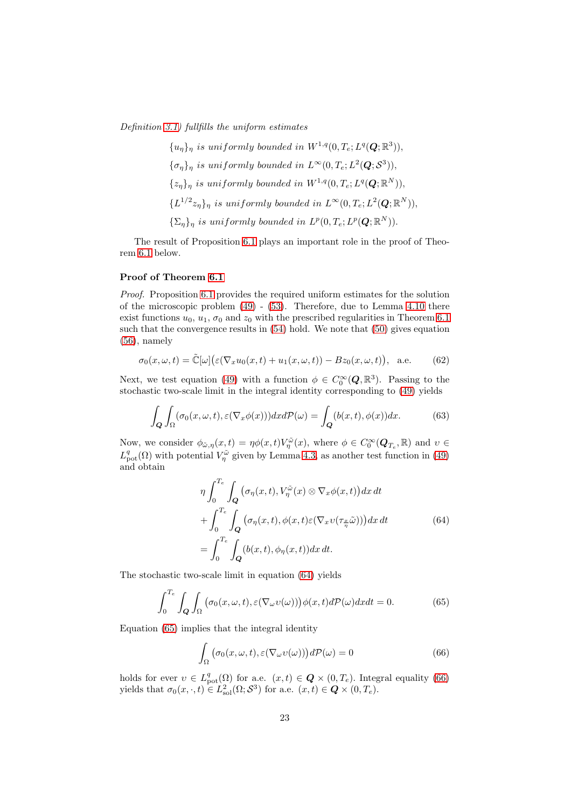Definition [3.1\)](#page-8-3) fullfills the uniform estimates

 ${u_{\eta}}_{\eta}$  is uniformly bounded in  $W^{1,q}(0, T_e; L^q(\boldsymbol{Q}; \mathbb{R}^3)),$  $\{\sigma_{\eta}\}_{\eta}$  is uniformly bounded in  $L^{\infty}(0, T_e; L^2(\boldsymbol{Q}; \mathcal{S}^3)),$  $\{z_{\eta}\}_{\eta}$  is uniformly bounded in  $W^{1,q}(0,T_e;L^q(\boldsymbol{Q};\mathbb{R}^N)),$  $\{L^{1/2}z_{\eta}\}_{\eta}$  is uniformly bounded in  $L^{\infty}(0,T_e;L^2(\boldsymbol{Q};\mathbb{R}^N)),$  $\{\Sigma_{\eta}\}_\eta$  is uniformly bounded in  $L^p(0, T_e; L^p(\boldsymbol{Q}; \mathbb{R}^N)).$ 

The result of Proposition [6.1](#page-21-0) plays an important role in the proof of Theorem [6.1](#page-21-1) below.

#### Proof of Theorem [6.1](#page-21-1)

Proof. Proposition [6.1](#page-21-0) provides the required uniform estimates for the solution of the microscopic problem [\(49\)](#page-20-1) - [\(53\)](#page-20-2). Therefore, due to Lemma [4.10](#page-17-5) there exist functions  $u_0$ ,  $u_1$ ,  $\sigma_0$  and  $z_0$  with the prescribed regularities in Theorem [6.1](#page-21-1) such that the convergence results in [\(54\)](#page-21-2) hold. We note that [\(50\)](#page-20-1) gives equation  $(56)$ , namely

$$
\sigma_0(x,\omega,t) = \tilde{\mathbb{C}}[\omega] \big(\varepsilon(\nabla_x u_0(x,t) + u_1(x,\omega,t)) - Bz_0(x,\omega,t)\big), \text{ a.e. } (62)
$$

Next, we test equation [\(49\)](#page-20-1) with a function  $\phi \in C_0^{\infty}(\mathbf{Q}, \mathbb{R}^3)$ . Passing to the stochastic two-scale limit in the integral identity corresponding to [\(49\)](#page-20-1) yields

$$
\int_{\mathbf{Q}} \int_{\Omega} (\sigma_0(x,\omega,t), \varepsilon(\nabla_x \phi(x))) dx d\mathcal{P}(\omega) = \int_{\mathbf{Q}} (b(x,t), \phi(x)) dx.
$$
 (63)

Now, we consider  $\phi_{\tilde{\omega},\eta}(x,t) = \eta \phi(x,t) V_{\eta}^{\tilde{\omega}}(x)$ , where  $\phi \in C_0^{\infty}(\mathbf{Q}_{T_e}, \mathbb{R})$  and  $v \in$  $L^q_{\text{pot}}(\Omega)$  with potential  $V^{\tilde{\omega}}_{\eta}$  given by Lemma [4.3,](#page-15-1) as another test function in [\(49\)](#page-20-1) and obtain

<span id="page-22-0"></span>
$$
\eta \int_0^{T_e} \int_{\mathbf{Q}} \left( \sigma_\eta(x, t), V_\eta^{\tilde{\omega}}(x) \otimes \nabla_x \phi(x, t) \right) dx dt + \int_0^{T_e} \int_{\mathbf{Q}} \left( \sigma_\eta(x, t), \phi(x, t) \varepsilon (\nabla_x v(\tau_{\frac{x}{\eta}} \tilde{\omega})) \right) dx dt = \int_0^{T_e} \int_{\mathbf{Q}} \left( b(x, t), \phi_\eta(x, t) \right) dx dt.
$$
 (64)

The stochastic two-scale limit in equation [\(64\)](#page-22-0) yields

<span id="page-22-1"></span>
$$
\int_0^{T_e} \int_{\Omega} \int_{\Omega} \left( \sigma_0(x, \omega, t), \varepsilon(\nabla_\omega v(\omega)) \right) \phi(x, t) d\mathcal{P}(\omega) dx dt = 0.
$$
 (65)

Equation [\(65\)](#page-22-1) implies that the integral identity

<span id="page-22-2"></span>
$$
\int_{\Omega} \left( \sigma_0(x, \omega, t), \varepsilon (\nabla_{\omega} v(\omega)) \right) d\mathcal{P}(\omega) = 0 \tag{66}
$$

holds for ever  $v \in L^q_{\text{pot}}(\Omega)$  for a.e.  $(x,t) \in \mathbf{Q} \times (0,T_e)$ . Integral equality [\(66\)](#page-22-2) yields that  $\sigma_0(x, \cdot, t) \in L^2_{\text{sol}}(\Omega; \mathcal{S}^3)$  for a.e.  $(x, t) \in \mathbf{Q} \times (0, T_e)$ .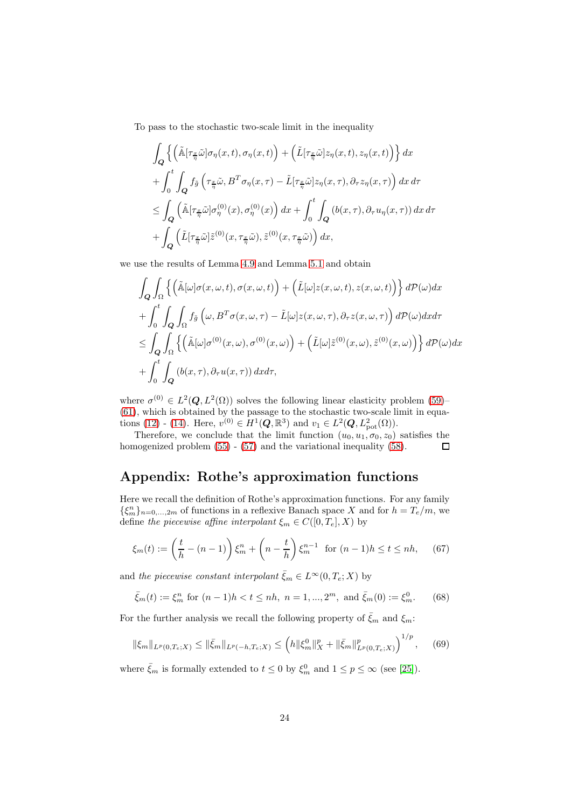To pass to the stochastic two-scale limit in the inequality

$$
\int_{\mathbf{Q}} \left\{ \left( \tilde{\mathbb{A}}[\tau_{\frac{x}{\eta}}\tilde{\omega}]\sigma_{\eta}(x,t), \sigma_{\eta}(x,t) \right) + \left( \tilde{L}[\tau_{\frac{x}{\eta}}\tilde{\omega}]z_{\eta}(x,t), z_{\eta}(x,t) \right) \right\} dx \n+ \int_{0}^{t} \int_{\mathbf{Q}} f_{\tilde{g}} \left( \tau_{\frac{x}{\eta}}\tilde{\omega}, B^{T}\sigma_{\eta}(x,\tau) - \tilde{L}[\tau_{\frac{x}{\eta}}\tilde{\omega}]z_{\eta}(x,\tau), \partial_{\tau} z_{\eta}(x,\tau) \right) dx d\tau \n\leq \int_{\mathbf{Q}} \left( \tilde{\mathbb{A}}[\tau_{\frac{x}{\eta}}\tilde{\omega}]\sigma_{\eta}^{(0)}(x), \sigma_{\eta}^{(0)}(x) \right) dx + \int_{0}^{t} \int_{\mathbf{Q}} \left( b(x,\tau), \partial_{\tau} u_{\eta}(x,\tau) \right) dx d\tau \n+ \int_{\mathbf{Q}} \left( \tilde{L}[\tau_{\frac{x}{\eta}}\tilde{\omega}] \tilde{z}^{(0)}(x,\tau_{\frac{x}{\eta}}\tilde{\omega}), \tilde{z}^{(0)}(x,\tau_{\frac{x}{\eta}}\tilde{\omega}) \right) dx,
$$

we use the results of Lemma [4.9](#page-16-2) and Lemma [5.1](#page-17-2) and obtain

$$
\int_{Q} \int_{\Omega} \left\{ \left( \tilde{\mathbb{A}}[\omega] \sigma(x, \omega, t), \sigma(x, \omega, t) \right) + \left( \tilde{L}[\omega] z(x, \omega, t), z(x, \omega, t) \right) \right\} d\mathcal{P}(\omega) dx \n+ \int_{0}^{t} \int_{Q} \int_{\Omega} f_{\tilde{g}} \left( \omega, B^{T} \sigma(x, \omega, \tau) - \tilde{L}[\omega] z(x, \omega, \tau), \partial_{\tau} z(x, \omega, \tau) \right) d\mathcal{P}(\omega) dx d\tau \n\leq \int_{Q} \int_{\Omega} \left\{ \left( \tilde{\mathbb{A}}[\omega] \sigma^{(0)}(x, \omega), \sigma^{(0)}(x, \omega) \right) + \left( \tilde{L}[\omega] \tilde{z}^{(0)}(x, \omega), \tilde{z}^{(0)}(x, \omega) \right) \right\} d\mathcal{P}(\omega) dx \n+ \int_{0}^{t} \int_{Q} \left( b(x, \tau), \partial_{\tau} u(x, \tau) \right) dx d\tau,
$$

where  $\sigma^{(0)} \in L^2(Q, L^2(\Omega))$  solves the following linear elasticity problem [\(59\)](#page-21-4)–  $(61)$ , which is obtained by the passage to the stochastic two-scale limit in equa-tions [\(12\)](#page-7-1) - [\(14\)](#page-7-1). Here,  $v^{(0)} \in H^1(Q, \mathbb{R}^3)$  and  $v_1 \in L^2(Q, L^2_{pot}(\Omega))$ .

Therefore, we conclude that the limit function  $(u_0, u_1, \sigma_0, z_0)$  satisfies the homogenized problem [\(55\)](#page-21-3) - [\(57\)](#page-21-5) and the variational inequality [\(58\)](#page-21-6).  $\Box$ 

# Appendix: Rothe's approximation functions

Here we recall the definition of Rothe's approximation functions. For any family  $\{\xi_m^n\}_{n=0,\dots,2m}$  of functions in a reflexive Banach space X and for  $h = T_e/m$ , we define the piecewise affine interpolant  $\xi_m \in C([0, T_e], X)$  by

$$
\xi_m(t) := \left(\frac{t}{h} - (n-1)\right)\xi_m^n + \left(n - \frac{t}{h}\right)\xi_m^{n-1} \quad \text{for } (n-1)h \le t \le nh,\tag{67}
$$

and the piecewise constant interpolant  $\bar{\xi}_m \in L^{\infty}(0, T_e; X)$  by

<span id="page-23-0"></span>
$$
\bar{\xi}_m(t) := \xi_m^n \text{ for } (n-1)h < t \le nh, \ n = 1, \dots, 2^m, \text{ and } \bar{\xi}_m(0) := \xi_m^0. \tag{68}
$$

For the further analysis we recall the following property of  $\bar{\xi}_m$  and  $\xi_m$ :

<span id="page-23-1"></span>
$$
\|\xi_m\|_{L^p(0,T_e;X)} \le \|\bar{\xi}_m\|_{L^p(-h,T_e;X)} \le \left(h\|\xi_m^0\|_X^p + \|\bar{\xi}_m\|_{L^p(0,T_e;X)}^p\right)^{1/p},\tag{69}
$$

where  $\bar{\xi}_m$  is formally extended to  $t \leq 0$  by  $\xi_m^0$  and  $1 \leq p \leq \infty$  (see [\[25\]](#page-25-11)).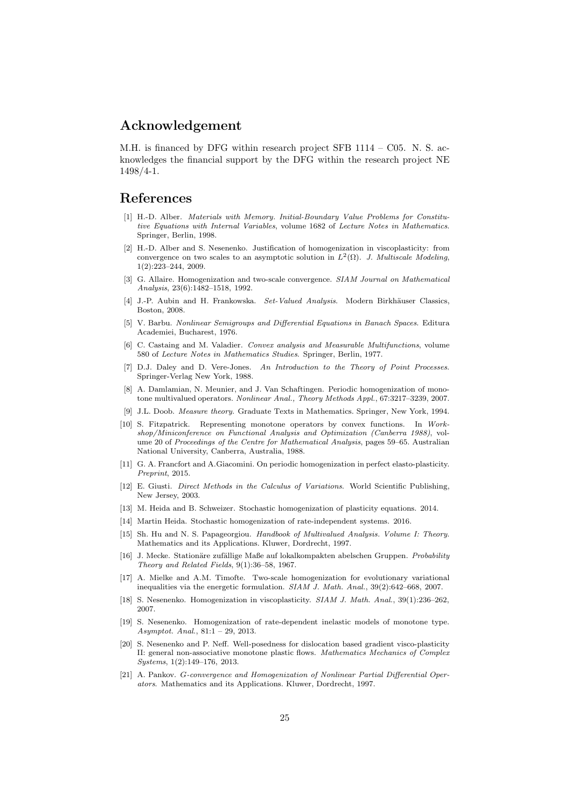## Acknowledgement

M.H. is financed by DFG within research project SFB  $1114 - C05$ . N. S. acknowledges the financial support by the DFG within the research project NE 1498/4-1.

# <span id="page-24-7"></span>References

- [1] H.-D. Alber. Materials with Memory. Initial-Boundary Value Problems for Constitutive Equations with Internal Variables, volume 1682 of Lecture Notes in Mathematics. Springer, Berlin, 1998.
- <span id="page-24-0"></span>[2] H.-D. Alber and S. Nesenenko. Justification of homogenization in viscoplasticity: from convergence on two scales to an asymptotic solution in  $L^2(\Omega)$ . J. Multiscale Modeling, 1(2):223–244, 2009.
- <span id="page-24-20"></span>[3] G. Allaire. Homogenization and two-scale convergence. SIAM Journal on Mathematical Analysis, 23(6):1482–1518, 1992.
- <span id="page-24-12"></span>[4] J.-P. Aubin and H. Frankowska. Set-Valued Analysis. Modern Birkhäuser Classics, Boston, 2008.
- <span id="page-24-10"></span>[5] V. Barbu. Nonlinear Semigroups and Differential Equations in Banach Spaces. Editura Academiei, Bucharest, 1976.
- <span id="page-24-13"></span>[6] C. Castaing and M. Valadier. Convex analysis and Measurable Multifunctions, volume 580 of Lecture Notes in Mathematics Studies. Springer, Berlin, 1977.
- <span id="page-24-9"></span>[7] D.J. Daley and D. Vere-Jones. An Introduction to the Theory of Point Processes. Springer-Verlag New York, 1988.
- <span id="page-24-15"></span>[8] A. Damlamian, N. Meunier, and J. Van Schaftingen. Periodic homogenization of monotone multivalued operators. Nonlinear Anal., Theory Methods Appl., 67:3217–3239, 2007.
- <span id="page-24-16"></span><span id="page-24-8"></span>[9] J.L. Doob. Measure theory. Graduate Texts in Mathematics. Springer, New York, 1994.
- [10] S. Fitzpatrick. Representing monotone operators by convex functions. In Workshop/Miniconference on Functional Analysis and Optimization (Canberra 1988), volume 20 of Proceedings of the Centre for Mathematical Analysis, pages 59–65. Australian National University, Canberra, Australia, 1988.
- <span id="page-24-1"></span>[11] G. A. Francfort and A.Giacomini. On periodic homogenization in perfect elasto-plasticity. Preprint, 2015.
- <span id="page-24-17"></span>[12] E. Giusti. Direct Methods in the Calculus of Variations. World Scientific Publishing, New Jersey, 2003.
- <span id="page-24-6"></span><span id="page-24-5"></span>[13] M. Heida and B. Schweizer. Stochastic homogenization of plasticity equations. 2014.
- <span id="page-24-11"></span>[14] Martin Heida. Stochastic homogenization of rate-independent systems. 2016.
- [15] Sh. Hu and N. S. Papageorgiou. Handbook of Multivalued Analysis. Volume I: Theory. Mathematics and its Applications. Kluwer, Dordrecht, 1997.
- <span id="page-24-19"></span>[16] J. Mecke. Stationäre zufällige Maße auf lokalkompakten abelschen Gruppen. Probability Theory and Related Fields, 9(1):36–58, 1967.
- <span id="page-24-2"></span>[17] A. Mielke and A.M. Timofte. Two-scale homogenization for evolutionary variational inequalities via the energetic formulation. SIAM J. Math. Anal., 39(2):642–668, 2007.
- <span id="page-24-3"></span>[18] S. Nesenenko. Homogenization in viscoplasticity. SIAM J. Math. Anal., 39(1):236–262, 2007.
- <span id="page-24-4"></span>[19] S. Nesenenko. Homogenization of rate-dependent inelastic models of monotone type. Asymptot. Anal., 81:1 – 29, 2013.
- <span id="page-24-18"></span>[20] S. Nesenenko and P. Neff. Well-posedness for dislocation based gradient visco-plasticity II: general non-associative monotone plastic flows. Mathematics Mechanics of Complex Systems, 1(2):149–176, 2013.
- <span id="page-24-14"></span>[21] A. Pankov. G-convergence and Homogenization of Nonlinear Partial Differential Operators. Mathematics and its Applications. Kluwer, Dordrecht, 1997.